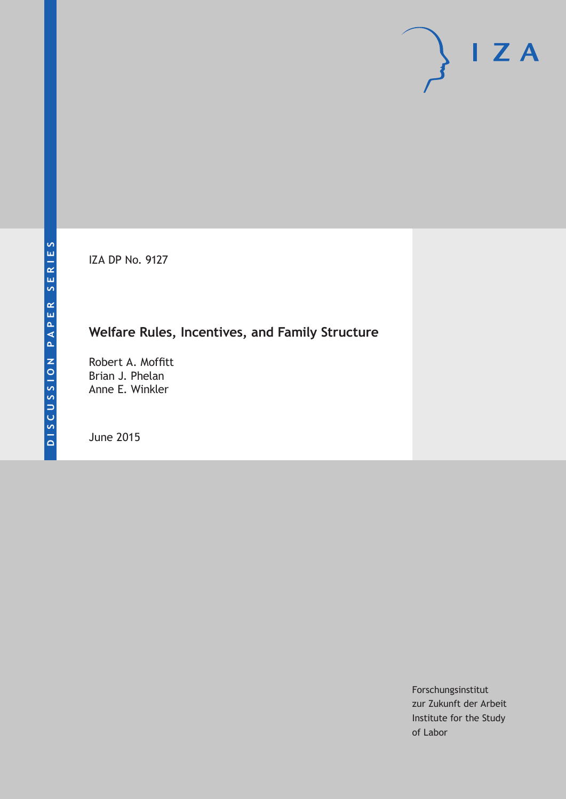IZA DP No. 9127

## **Welfare Rules, Incentives, and Family Structure**

Robert A. Moffitt Brian J. Phelan Anne E. Winkler

June 2015

Forschungsinstitut zur Zukunft der Arbeit Institute for the Study of Labor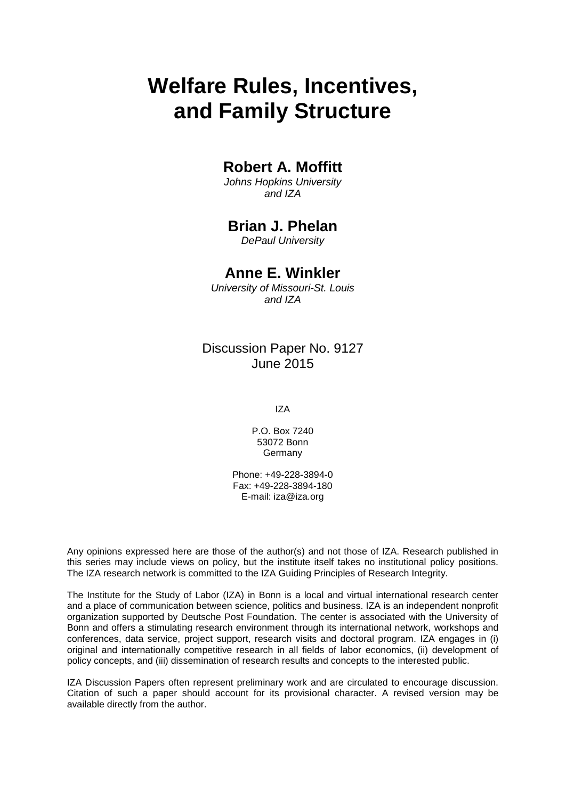# **Welfare Rules, Incentives, and Family Structure**

### **Robert A. Moffitt**

*Johns Hopkins University and IZA*

### **Brian J. Phelan**

*DePaul University*

### **Anne E. Winkler**

*University of Missouri-St. Louis and IZA*

### Discussion Paper No. 9127 June 2015

IZA

P.O. Box 7240 53072 Bonn Germany

Phone: +49-228-3894-0 Fax: +49-228-3894-180 E-mail: iza@iza.org

Any opinions expressed here are those of the author(s) and not those of IZA. Research published in this series may include views on policy, but the institute itself takes no institutional policy positions. The IZA research network is committed to the IZA Guiding Principles of Research Integrity.

The Institute for the Study of Labor (IZA) in Bonn is a local and virtual international research center and a place of communication between science, politics and business. IZA is an independent nonprofit organization supported by Deutsche Post Foundation. The center is associated with the University of Bonn and offers a stimulating research environment through its international network, workshops and conferences, data service, project support, research visits and doctoral program. IZA engages in (i) original and internationally competitive research in all fields of labor economics, (ii) development of policy concepts, and (iii) dissemination of research results and concepts to the interested public.

<span id="page-1-0"></span>IZA Discussion Papers often represent preliminary work and are circulated to encourage discussion. Citation of such a paper should account for its provisional character. A revised version may be available directly from the author.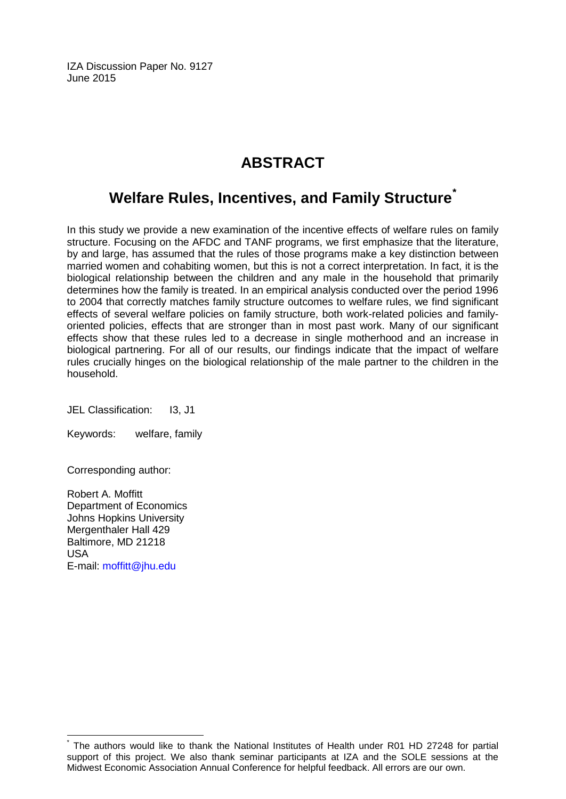IZA Discussion Paper No. 9127 June 2015

## **ABSTRACT**

## **Welfare Rules, Incentives, and Family Structure[\\*](#page-1-0)**

In this study we provide a new examination of the incentive effects of welfare rules on family structure. Focusing on the AFDC and TANF programs, we first emphasize that the literature, by and large, has assumed that the rules of those programs make a key distinction between married women and cohabiting women, but this is not a correct interpretation. In fact, it is the biological relationship between the children and any male in the household that primarily determines how the family is treated. In an empirical analysis conducted over the period 1996 to 2004 that correctly matches family structure outcomes to welfare rules, we find significant effects of several welfare policies on family structure, both work-related policies and familyoriented policies, effects that are stronger than in most past work. Many of our significant effects show that these rules led to a decrease in single motherhood and an increase in biological partnering. For all of our results, our findings indicate that the impact of welfare rules crucially hinges on the biological relationship of the male partner to the children in the household.

JEL Classification: I3, J1

Keywords: welfare, family

Corresponding author:

Robert A. Moffitt Department of Economics Johns Hopkins University Mergenthaler Hall 429 Baltimore, MD 21218 USA E-mail: [moffitt@jhu.edu](mailto:moffitt@jhu.edu)

The authors would like to thank the National Institutes of Health under R01 HD 27248 for partial support of this project. We also thank seminar participants at IZA and the SOLE sessions at the Midwest Economic Association Annual Conference for helpful feedback. All errors are our own.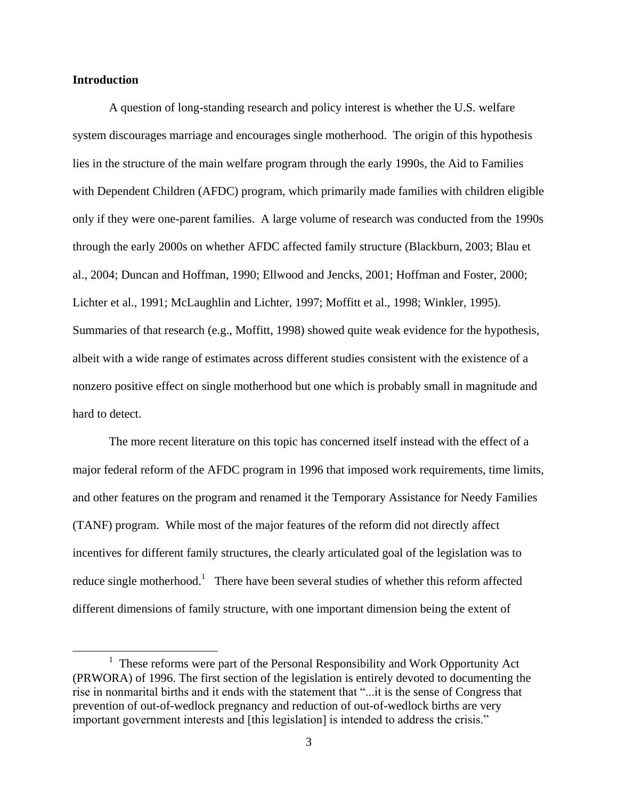#### **Introduction**

 $\overline{a}$ 

A question of long-standing research and policy interest is whether the U.S. welfare system discourages marriage and encourages single motherhood. The origin of this hypothesis lies in the structure of the main welfare program through the early 1990s, the Aid to Families with Dependent Children (AFDC) program, which primarily made families with children eligible only if they were one-parent families. A large volume of research was conducted from the 1990s through the early 2000s on whether AFDC affected family structure (Blackburn, 2003; Blau et al., 2004; Duncan and Hoffman, 1990; Ellwood and Jencks, 2001; Hoffman and Foster, 2000; Lichter et al., 1991; McLaughlin and Lichter, 1997; Moffitt et al., 1998; Winkler, 1995). Summaries of that research (e.g., Moffitt, 1998) showed quite weak evidence for the hypothesis, albeit with a wide range of estimates across different studies consistent with the existence of a nonzero positive effect on single motherhood but one which is probably small in magnitude and hard to detect.

The more recent literature on this topic has concerned itself instead with the effect of a major federal reform of the AFDC program in 1996 that imposed work requirements, time limits, and other features on the program and renamed it the Temporary Assistance for Needy Families (TANF) program. While most of the major features of the reform did not directly affect incentives for different family structures, the clearly articulated goal of the legislation was to reduce single motherhood.<sup>1</sup> There have been several studies of whether this reform affected different dimensions of family structure, with one important dimension being the extent of

 $<sup>1</sup>$  These reforms were part of the Personal Responsibility and Work Opportunity Act</sup> (PRWORA) of 1996. The first section of the legislation is entirely devoted to documenting the rise in nonmarital births and it ends with the statement that "...it is the sense of Congress that prevention of out-of-wedlock pregnancy and reduction of out-of-wedlock births are very important government interests and [this legislation] is intended to address the crisis."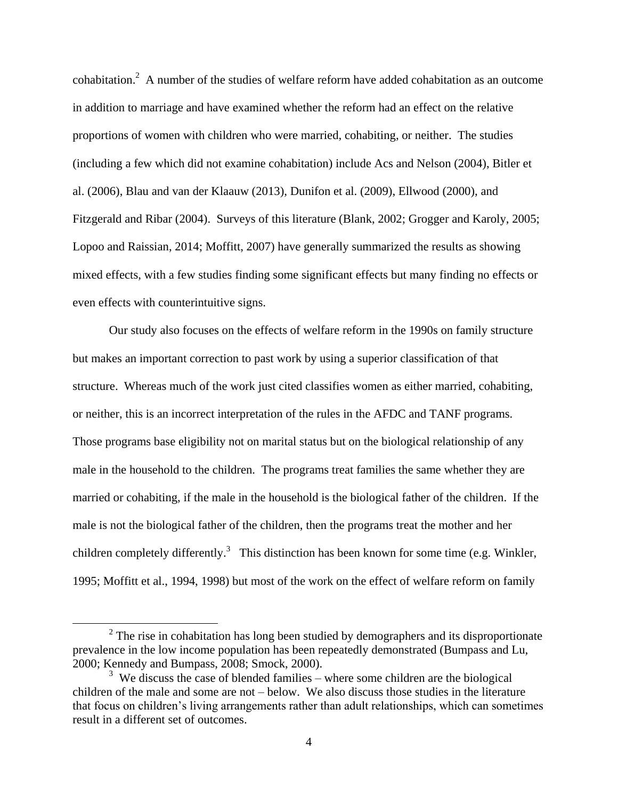cohabitation.<sup>2</sup> A number of the studies of welfare reform have added cohabitation as an outcome in addition to marriage and have examined whether the reform had an effect on the relative proportions of women with children who were married, cohabiting, or neither. The studies (including a few which did not examine cohabitation) include Acs and Nelson (2004), Bitler et al. (2006), Blau and van der Klaauw (2013), Dunifon et al. (2009), Ellwood (2000), and Fitzgerald and Ribar (2004). Surveys of this literature (Blank, 2002; Grogger and Karoly, 2005; Lopoo and Raissian, 2014; Moffitt, 2007) have generally summarized the results as showing mixed effects, with a few studies finding some significant effects but many finding no effects or even effects with counterintuitive signs.

Our study also focuses on the effects of welfare reform in the 1990s on family structure but makes an important correction to past work by using a superior classification of that structure. Whereas much of the work just cited classifies women as either married, cohabiting, or neither, this is an incorrect interpretation of the rules in the AFDC and TANF programs. Those programs base eligibility not on marital status but on the biological relationship of any male in the household to the children. The programs treat families the same whether they are married or cohabiting, if the male in the household is the biological father of the children. If the male is not the biological father of the children, then the programs treat the mother and her children completely differently.<sup>3</sup> This distinction has been known for some time (e.g. Winkler, 1995; Moffitt et al., 1994, 1998) but most of the work on the effect of welfare reform on family

 $2^2$  The rise in cohabitation has long been studied by demographers and its disproportionate prevalence in the low income population has been repeatedly demonstrated (Bumpass and Lu, 2000; Kennedy and Bumpass, 2008; Smock, 2000).

<sup>&</sup>lt;sup>3</sup> We discuss the case of blended families – where some children are the biological children of the male and some are not – below. We also discuss those studies in the literature that focus on children's living arrangements rather than adult relationships, which can sometimes result in a different set of outcomes.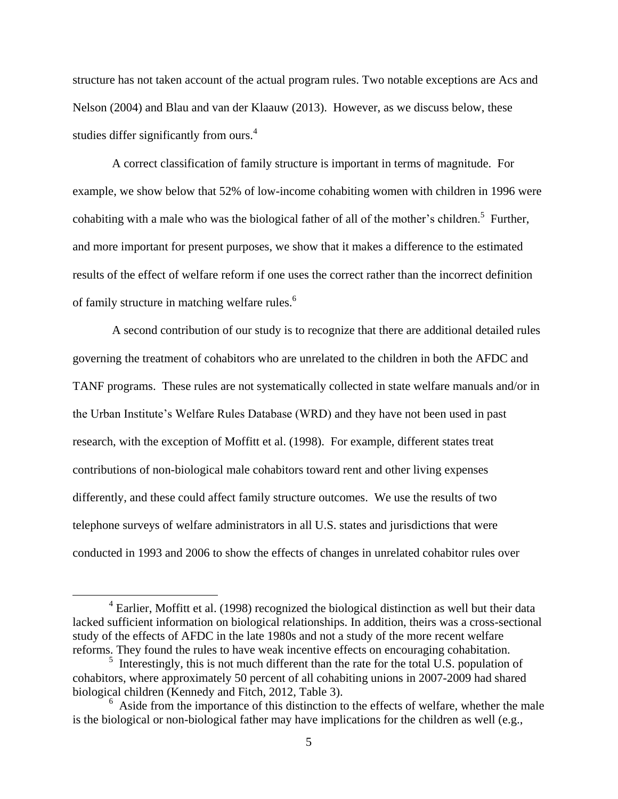structure has not taken account of the actual program rules. Two notable exceptions are Acs and Nelson (2004) and Blau and van der Klaauw (2013). However, as we discuss below, these studies differ significantly from ours.<sup>4</sup>

A correct classification of family structure is important in terms of magnitude. For example, we show below that 52% of low-income cohabiting women with children in 1996 were cohabiting with a male who was the biological father of all of the mother's children.<sup>5</sup> Further, and more important for present purposes, we show that it makes a difference to the estimated results of the effect of welfare reform if one uses the correct rather than the incorrect definition of family structure in matching welfare rules.<sup>6</sup>

A second contribution of our study is to recognize that there are additional detailed rules governing the treatment of cohabitors who are unrelated to the children in both the AFDC and TANF programs. These rules are not systematically collected in state welfare manuals and/or in the Urban Institute's Welfare Rules Database (WRD) and they have not been used in past research, with the exception of Moffitt et al. (1998). For example, different states treat contributions of non-biological male cohabitors toward rent and other living expenses differently, and these could affect family structure outcomes. We use the results of two telephone surveys of welfare administrators in all U.S. states and jurisdictions that were conducted in 1993 and 2006 to show the effects of changes in unrelated cohabitor rules over

 $4$  Earlier, Moffitt et al. (1998) recognized the biological distinction as well but their data lacked sufficient information on biological relationships. In addition, theirs was a cross-sectional study of the effects of AFDC in the late 1980s and not a study of the more recent welfare reforms. They found the rules to have weak incentive effects on encouraging cohabitation.

 $<sup>5</sup>$  Interestingly, this is not much different than the rate for the total U.S. population of</sup> cohabitors, where approximately 50 percent of all cohabiting unions in 2007-2009 had shared biological children (Kennedy and Fitch, 2012, Table 3).

<sup>&</sup>lt;sup>6</sup> Aside from the importance of this distinction to the effects of welfare, whether the male is the biological or non-biological father may have implications for the children as well (e.g.,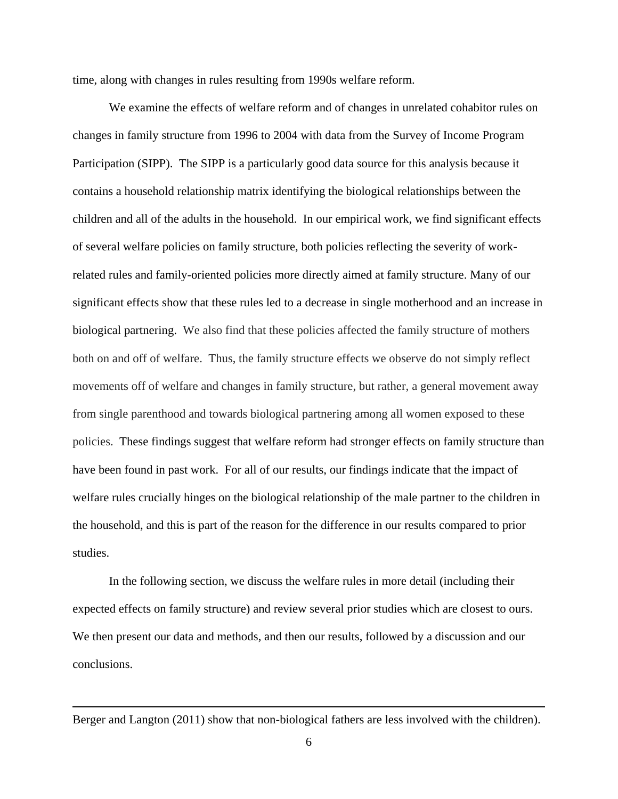time, along with changes in rules resulting from 1990s welfare reform.

We examine the effects of welfare reform and of changes in unrelated cohabitor rules on changes in family structure from 1996 to 2004 with data from the Survey of Income Program Participation (SIPP). The SIPP is a particularly good data source for this analysis because it contains a household relationship matrix identifying the biological relationships between the children and all of the adults in the household. In our empirical work, we find significant effects of several welfare policies on family structure, both policies reflecting the severity of workrelated rules and family-oriented policies more directly aimed at family structure. Many of our significant effects show that these rules led to a decrease in single motherhood and an increase in biological partnering. We also find that these policies affected the family structure of mothers both on and off of welfare. Thus, the family structure effects we observe do not simply reflect movements off of welfare and changes in family structure, but rather, a general movement away from single parenthood and towards biological partnering among all women exposed to these policies. These findings suggest that welfare reform had stronger effects on family structure than have been found in past work. For all of our results, our findings indicate that the impact of welfare rules crucially hinges on the biological relationship of the male partner to the children in the household, and this is part of the reason for the difference in our results compared to prior studies.

In the following section, we discuss the welfare rules in more detail (including their expected effects on family structure) and review several prior studies which are closest to ours. We then present our data and methods, and then our results, followed by a discussion and our conclusions.

Berger and Langton (2011) show that non-biological fathers are less involved with the children).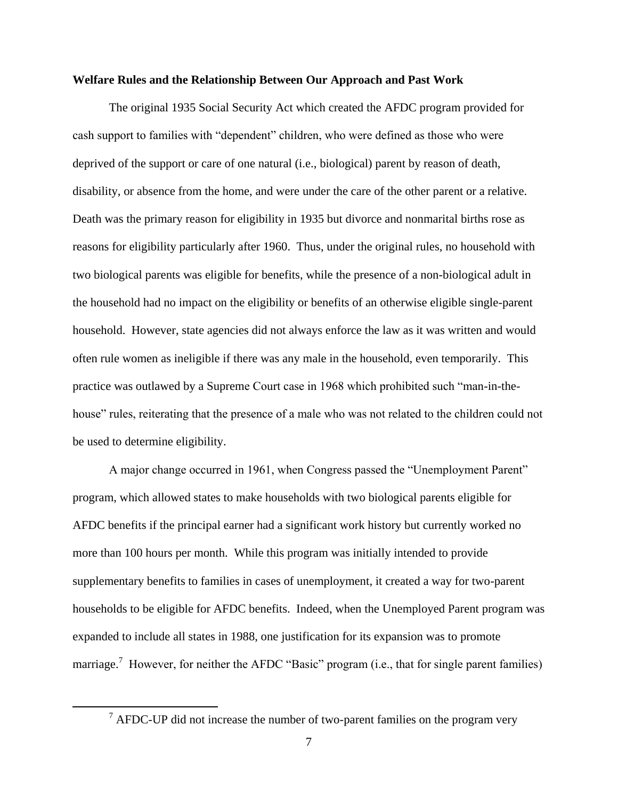#### **Welfare Rules and the Relationship Between Our Approach and Past Work**

The original 1935 Social Security Act which created the AFDC program provided for cash support to families with "dependent" children, who were defined as those who were deprived of the support or care of one natural (i.e., biological) parent by reason of death, disability, or absence from the home, and were under the care of the other parent or a relative. Death was the primary reason for eligibility in 1935 but divorce and nonmarital births rose as reasons for eligibility particularly after 1960. Thus, under the original rules, no household with two biological parents was eligible for benefits, while the presence of a non-biological adult in the household had no impact on the eligibility or benefits of an otherwise eligible single-parent household. However, state agencies did not always enforce the law as it was written and would often rule women as ineligible if there was any male in the household, even temporarily. This practice was outlawed by a Supreme Court case in 1968 which prohibited such "man-in-thehouse" rules, reiterating that the presence of a male who was not related to the children could not be used to determine eligibility.

A major change occurred in 1961, when Congress passed the "Unemployment Parent" program, which allowed states to make households with two biological parents eligible for AFDC benefits if the principal earner had a significant work history but currently worked no more than 100 hours per month. While this program was initially intended to provide supplementary benefits to families in cases of unemployment, it created a way for two-parent households to be eligible for AFDC benefits. Indeed, when the Unemployed Parent program was expanded to include all states in 1988, one justification for its expansion was to promote marriage.<sup>7</sup> However, for neither the AFDC "Basic" program (i.e., that for single parent families)

 $\frac{7}{7}$  AFDC-UP did not increase the number of two-parent families on the program very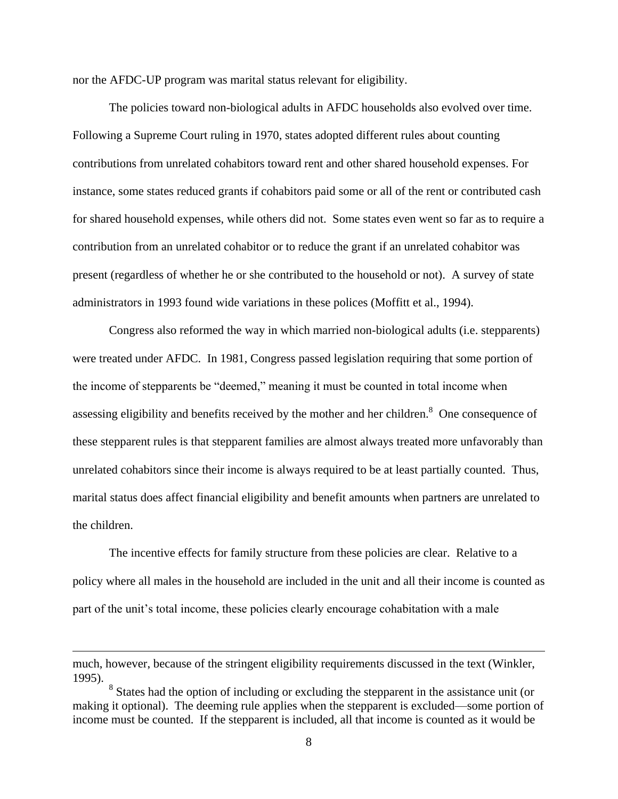nor the AFDC-UP program was marital status relevant for eligibility.

The policies toward non-biological adults in AFDC households also evolved over time. Following a Supreme Court ruling in 1970, states adopted different rules about counting contributions from unrelated cohabitors toward rent and other shared household expenses. For instance, some states reduced grants if cohabitors paid some or all of the rent or contributed cash for shared household expenses, while others did not. Some states even went so far as to require a contribution from an unrelated cohabitor or to reduce the grant if an unrelated cohabitor was present (regardless of whether he or she contributed to the household or not). A survey of state administrators in 1993 found wide variations in these polices (Moffitt et al., 1994).

Congress also reformed the way in which married non-biological adults (i.e. stepparents) were treated under AFDC. In 1981, Congress passed legislation requiring that some portion of the income of stepparents be "deemed," meaning it must be counted in total income when assessing eligibility and benefits received by the mother and her children. $\delta$  One consequence of these stepparent rules is that stepparent families are almost always treated more unfavorably than unrelated cohabitors since their income is always required to be at least partially counted. Thus, marital status does affect financial eligibility and benefit amounts when partners are unrelated to the children.

The incentive effects for family structure from these policies are clear. Relative to a policy where all males in the household are included in the unit and all their income is counted as part of the unit's total income, these policies clearly encourage cohabitation with a male

much, however, because of the stringent eligibility requirements discussed in the text (Winkler, 1995).

<sup>&</sup>lt;sup>8</sup> States had the option of including or excluding the stepparent in the assistance unit (or making it optional). The deeming rule applies when the stepparent is excluded—some portion of income must be counted. If the stepparent is included, all that income is counted as it would be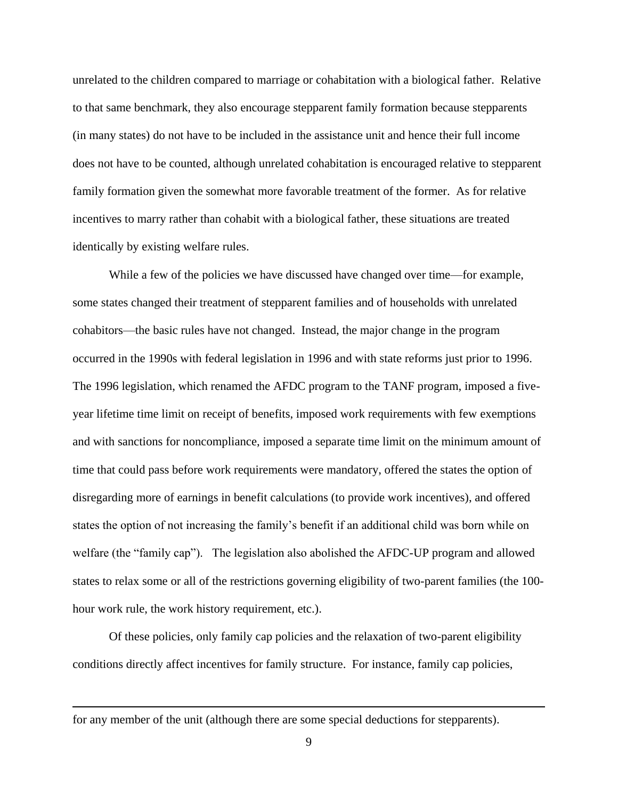unrelated to the children compared to marriage or cohabitation with a biological father. Relative to that same benchmark, they also encourage stepparent family formation because stepparents (in many states) do not have to be included in the assistance unit and hence their full income does not have to be counted, although unrelated cohabitation is encouraged relative to stepparent family formation given the somewhat more favorable treatment of the former. As for relative incentives to marry rather than cohabit with a biological father, these situations are treated identically by existing welfare rules.

While a few of the policies we have discussed have changed over time—for example, some states changed their treatment of stepparent families and of households with unrelated cohabitors—the basic rules have not changed. Instead, the major change in the program occurred in the 1990s with federal legislation in 1996 and with state reforms just prior to 1996. The 1996 legislation, which renamed the AFDC program to the TANF program, imposed a fiveyear lifetime time limit on receipt of benefits, imposed work requirements with few exemptions and with sanctions for noncompliance, imposed a separate time limit on the minimum amount of time that could pass before work requirements were mandatory, offered the states the option of disregarding more of earnings in benefit calculations (to provide work incentives), and offered states the option of not increasing the family's benefit if an additional child was born while on welfare (the "family cap"). The legislation also abolished the AFDC-UP program and allowed states to relax some or all of the restrictions governing eligibility of two-parent families (the 100 hour work rule, the work history requirement, etc.).

Of these policies, only family cap policies and the relaxation of two-parent eligibility conditions directly affect incentives for family structure. For instance, family cap policies,

for any member of the unit (although there are some special deductions for stepparents).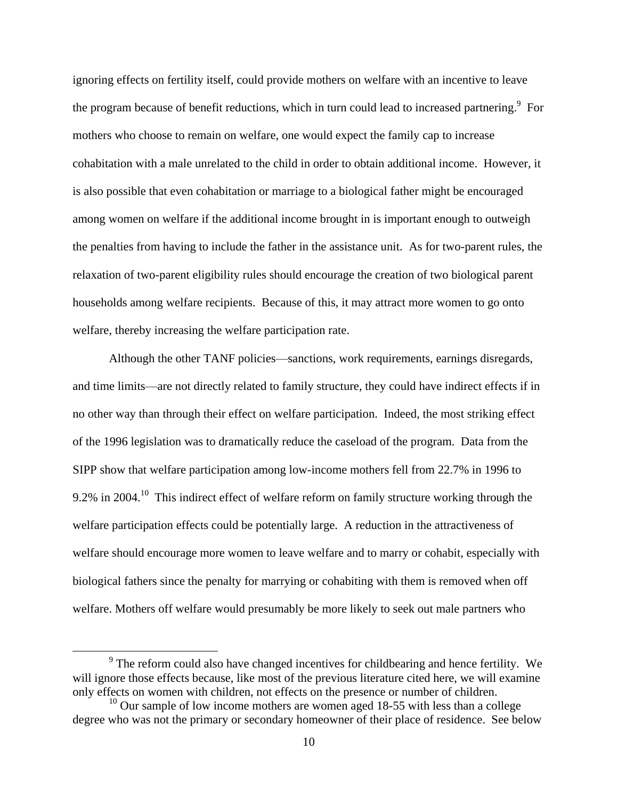ignoring effects on fertility itself, could provide mothers on welfare with an incentive to leave the program because of benefit reductions, which in turn could lead to increased partnering.<sup>9</sup> For mothers who choose to remain on welfare, one would expect the family cap to increase cohabitation with a male unrelated to the child in order to obtain additional income. However, it is also possible that even cohabitation or marriage to a biological father might be encouraged among women on welfare if the additional income brought in is important enough to outweigh the penalties from having to include the father in the assistance unit. As for two-parent rules, the relaxation of two-parent eligibility rules should encourage the creation of two biological parent households among welfare recipients. Because of this, it may attract more women to go onto welfare, thereby increasing the welfare participation rate.

Although the other TANF policies—sanctions, work requirements, earnings disregards, and time limits—are not directly related to family structure, they could have indirect effects if in no other way than through their effect on welfare participation. Indeed, the most striking effect of the 1996 legislation was to dramatically reduce the caseload of the program. Data from the SIPP show that welfare participation among low-income mothers fell from 22.7% in 1996 to 9.2% in 2004.<sup>10</sup> This indirect effect of welfare reform on family structure working through the welfare participation effects could be potentially large. A reduction in the attractiveness of welfare should encourage more women to leave welfare and to marry or cohabit, especially with biological fathers since the penalty for marrying or cohabiting with them is removed when off welfare. Mothers off welfare would presumably be more likely to seek out male partners who

 $9^9$  The reform could also have changed incentives for childbearing and hence fertility. We will ignore those effects because, like most of the previous literature cited here, we will examine only effects on women with children, not effects on the presence or number of children.

 $10$  Our sample of low income mothers are women aged 18-55 with less than a college degree who was not the primary or secondary homeowner of their place of residence. See below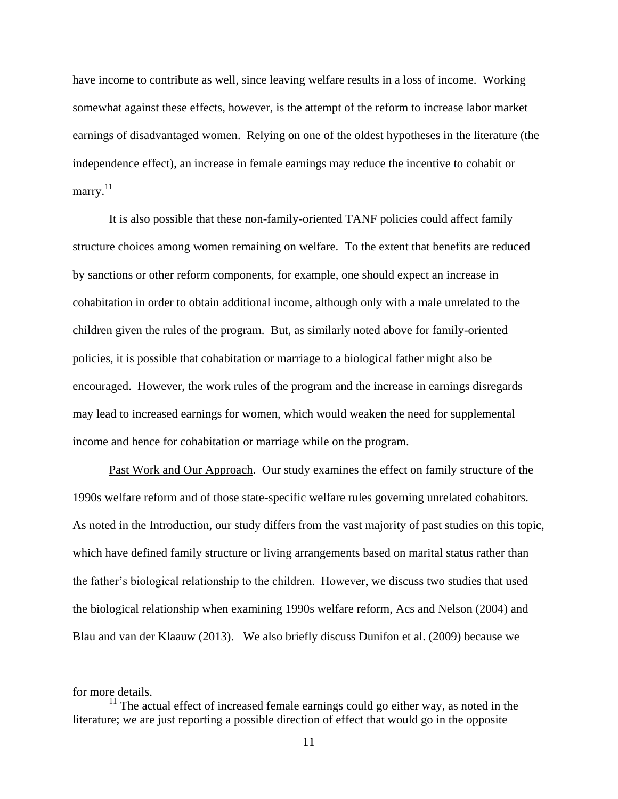have income to contribute as well, since leaving welfare results in a loss of income. Working somewhat against these effects, however, is the attempt of the reform to increase labor market earnings of disadvantaged women. Relying on one of the oldest hypotheses in the literature (the independence effect), an increase in female earnings may reduce the incentive to cohabit or marry.<sup>11</sup>

It is also possible that these non-family-oriented TANF policies could affect family structure choices among women remaining on welfare. To the extent that benefits are reduced by sanctions or other reform components, for example, one should expect an increase in cohabitation in order to obtain additional income, although only with a male unrelated to the children given the rules of the program. But, as similarly noted above for family-oriented policies, it is possible that cohabitation or marriage to a biological father might also be encouraged. However, the work rules of the program and the increase in earnings disregards may lead to increased earnings for women, which would weaken the need for supplemental income and hence for cohabitation or marriage while on the program.

Past Work and Our Approach. Our study examines the effect on family structure of the 1990s welfare reform and of those state-specific welfare rules governing unrelated cohabitors. As noted in the Introduction, our study differs from the vast majority of past studies on this topic, which have defined family structure or living arrangements based on marital status rather than the father's biological relationship to the children. However, we discuss two studies that used the biological relationship when examining 1990s welfare reform, Acs and Nelson (2004) and Blau and van der Klaauw (2013). We also briefly discuss Dunifon et al. (2009) because we

for more details.

 $11$ <sup>11</sup> The actual effect of increased female earnings could go either way, as noted in the literature; we are just reporting a possible direction of effect that would go in the opposite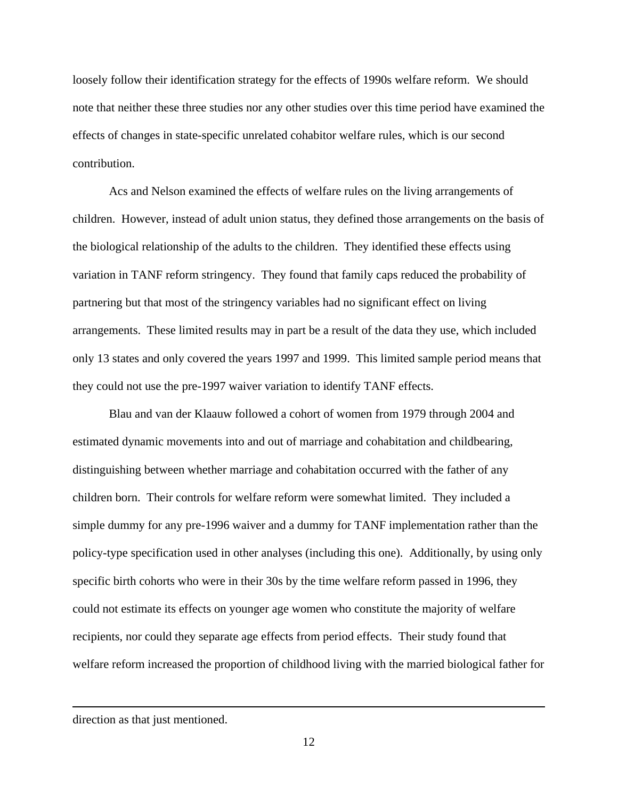loosely follow their identification strategy for the effects of 1990s welfare reform. We should note that neither these three studies nor any other studies over this time period have examined the effects of changes in state-specific unrelated cohabitor welfare rules, which is our second contribution.

Acs and Nelson examined the effects of welfare rules on the living arrangements of children. However, instead of adult union status, they defined those arrangements on the basis of the biological relationship of the adults to the children. They identified these effects using variation in TANF reform stringency. They found that family caps reduced the probability of partnering but that most of the stringency variables had no significant effect on living arrangements. These limited results may in part be a result of the data they use, which included only 13 states and only covered the years 1997 and 1999. This limited sample period means that they could not use the pre-1997 waiver variation to identify TANF effects.

Blau and van der Klaauw followed a cohort of women from 1979 through 2004 and estimated dynamic movements into and out of marriage and cohabitation and childbearing, distinguishing between whether marriage and cohabitation occurred with the father of any children born. Their controls for welfare reform were somewhat limited. They included a simple dummy for any pre-1996 waiver and a dummy for TANF implementation rather than the policy-type specification used in other analyses (including this one). Additionally, by using only specific birth cohorts who were in their 30s by the time welfare reform passed in 1996, they could not estimate its effects on younger age women who constitute the majority of welfare recipients, nor could they separate age effects from period effects. Their study found that welfare reform increased the proportion of childhood living with the married biological father for

direction as that just mentioned.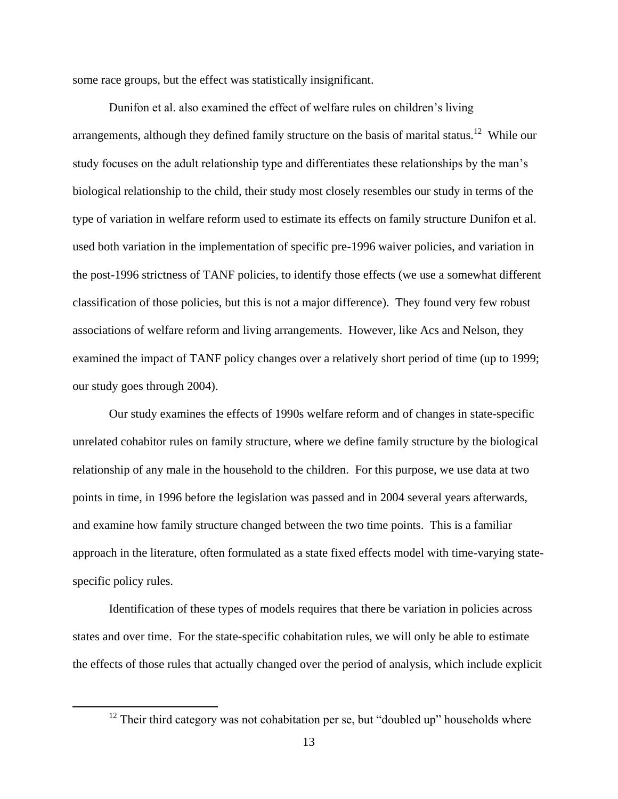some race groups, but the effect was statistically insignificant.

Dunifon et al. also examined the effect of welfare rules on children's living arrangements, although they defined family structure on the basis of marital status.<sup>12</sup> While our study focuses on the adult relationship type and differentiates these relationships by the man's biological relationship to the child, their study most closely resembles our study in terms of the type of variation in welfare reform used to estimate its effects on family structure Dunifon et al. used both variation in the implementation of specific pre-1996 waiver policies, and variation in the post-1996 strictness of TANF policies, to identify those effects (we use a somewhat different classification of those policies, but this is not a major difference). They found very few robust associations of welfare reform and living arrangements. However, like Acs and Nelson, they examined the impact of TANF policy changes over a relatively short period of time (up to 1999; our study goes through 2004).

Our study examines the effects of 1990s welfare reform and of changes in state-specific unrelated cohabitor rules on family structure, where we define family structure by the biological relationship of any male in the household to the children. For this purpose, we use data at two points in time, in 1996 before the legislation was passed and in 2004 several years afterwards, and examine how family structure changed between the two time points. This is a familiar approach in the literature, often formulated as a state fixed effects model with time-varying statespecific policy rules.

Identification of these types of models requires that there be variation in policies across states and over time. For the state-specific cohabitation rules, we will only be able to estimate the effects of those rules that actually changed over the period of analysis, which include explicit

 $12$  Their third category was not cohabitation per se, but "doubled up" households where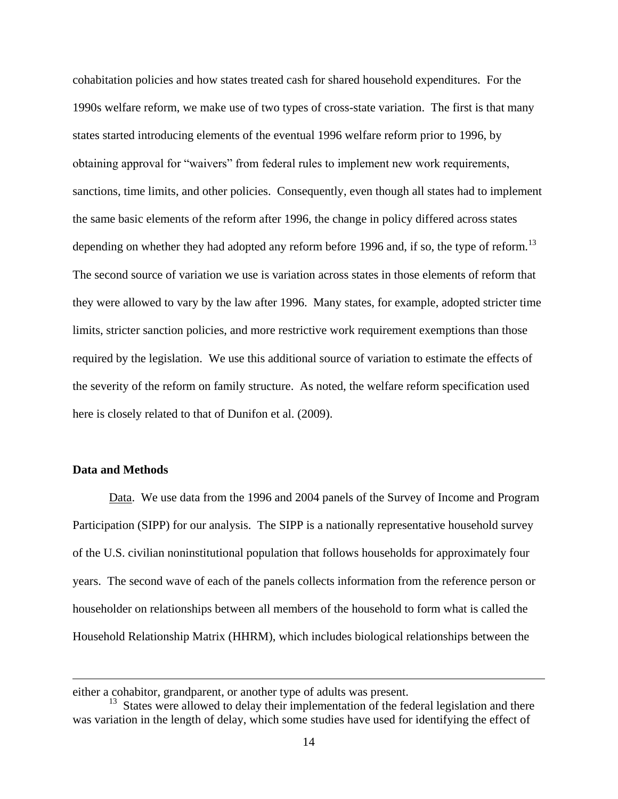cohabitation policies and how states treated cash for shared household expenditures. For the 1990s welfare reform, we make use of two types of cross-state variation. The first is that many states started introducing elements of the eventual 1996 welfare reform prior to 1996, by obtaining approval for "waivers" from federal rules to implement new work requirements, sanctions, time limits, and other policies. Consequently, even though all states had to implement the same basic elements of the reform after 1996, the change in policy differed across states depending on whether they had adopted any reform before 1996 and, if so, the type of reform.<sup>13</sup> The second source of variation we use is variation across states in those elements of reform that they were allowed to vary by the law after 1996. Many states, for example, adopted stricter time limits, stricter sanction policies, and more restrictive work requirement exemptions than those required by the legislation. We use this additional source of variation to estimate the effects of the severity of the reform on family structure. As noted, the welfare reform specification used here is closely related to that of Dunifon et al. (2009).

#### **Data and Methods**

 $\overline{a}$ 

Data. We use data from the 1996 and 2004 panels of the Survey of Income and Program Participation (SIPP) for our analysis. The SIPP is a nationally representative household survey of the U.S. civilian noninstitutional population that follows households for approximately four years. The second wave of each of the panels collects information from the reference person or householder on relationships between all members of the household to form what is called the Household Relationship Matrix (HHRM), which includes biological relationships between the

either a cohabitor, grandparent, or another type of adults was present.

<sup>&</sup>lt;sup>13</sup> States were allowed to delay their implementation of the federal legislation and there was variation in the length of delay, which some studies have used for identifying the effect of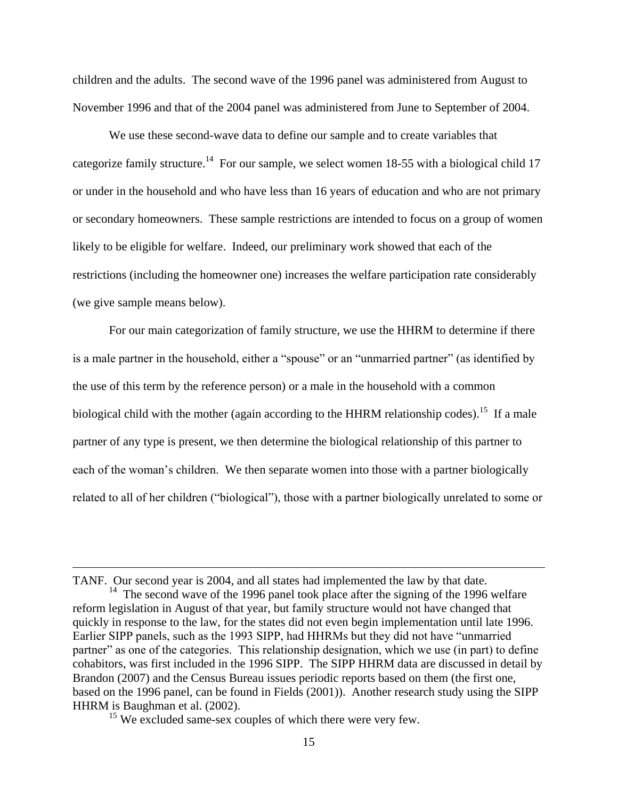children and the adults. The second wave of the 1996 panel was administered from August to November 1996 and that of the 2004 panel was administered from June to September of 2004.

We use these second-wave data to define our sample and to create variables that categorize family structure.<sup>14</sup> For our sample, we select women 18-55 with a biological child 17 or under in the household and who have less than 16 years of education and who are not primary or secondary homeowners. These sample restrictions are intended to focus on a group of women likely to be eligible for welfare. Indeed, our preliminary work showed that each of the restrictions (including the homeowner one) increases the welfare participation rate considerably (we give sample means below).

For our main categorization of family structure, we use the HHRM to determine if there is a male partner in the household, either a "spouse" or an "unmarried partner" (as identified by the use of this term by the reference person) or a male in the household with a common biological child with the mother (again according to the HHRM relationship codes).<sup>15</sup> If a male partner of any type is present, we then determine the biological relationship of this partner to each of the woman's children. We then separate women into those with a partner biologically related to all of her children ("biological"), those with a partner biologically unrelated to some or

TANF. Our second year is 2004, and all states had implemented the law by that date. <sup>14</sup> The second wave of the 1996 panel took place after the signing of the 1996 welfare reform legislation in August of that year, but family structure would not have changed that quickly in response to the law, for the states did not even begin implementation until late 1996. Earlier SIPP panels, such as the 1993 SIPP, had HHRMs but they did not have "unmarried partner" as one of the categories. This relationship designation, which we use (in part) to define cohabitors, was first included in the 1996 SIPP. The SIPP HHRM data are discussed in detail by Brandon (2007) and the Census Bureau issues periodic reports based on them (the first one, based on the 1996 panel, can be found in Fields (2001)). Another research study using the SIPP HHRM is Baughman et al. (2002).

<sup>&</sup>lt;sup>15</sup> We excluded same-sex couples of which there were very few.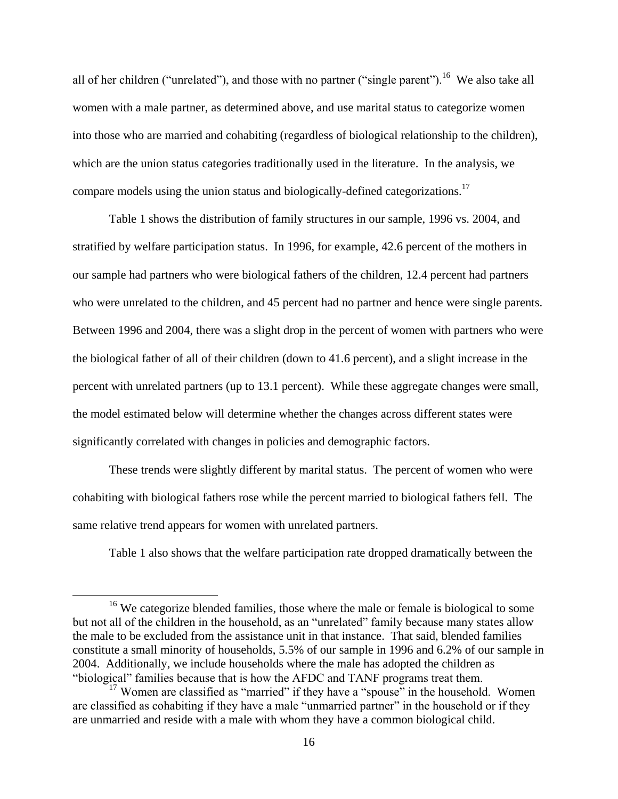all of her children ("unrelated"), and those with no partner ("single parent").<sup>16</sup> We also take all women with a male partner, as determined above, and use marital status to categorize women into those who are married and cohabiting (regardless of biological relationship to the children), which are the union status categories traditionally used in the literature. In the analysis, we compare models using the union status and biologically-defined categorizations.<sup>17</sup>

Table 1 shows the distribution of family structures in our sample, 1996 vs. 2004, and stratified by welfare participation status. In 1996, for example, 42.6 percent of the mothers in our sample had partners who were biological fathers of the children, 12.4 percent had partners who were unrelated to the children, and 45 percent had no partner and hence were single parents. Between 1996 and 2004, there was a slight drop in the percent of women with partners who were the biological father of all of their children (down to 41.6 percent), and a slight increase in the percent with unrelated partners (up to 13.1 percent). While these aggregate changes were small, the model estimated below will determine whether the changes across different states were significantly correlated with changes in policies and demographic factors.

These trends were slightly different by marital status. The percent of women who were cohabiting with biological fathers rose while the percent married to biological fathers fell. The same relative trend appears for women with unrelated partners.

Table 1 also shows that the welfare participation rate dropped dramatically between the

<sup>&</sup>lt;sup>16</sup> We categorize blended families, those where the male or female is biological to some but not all of the children in the household, as an "unrelated" family because many states allow the male to be excluded from the assistance unit in that instance. That said, blended families constitute a small minority of households, 5.5% of our sample in 1996 and 6.2% of our sample in 2004. Additionally, we include households where the male has adopted the children as "biological" families because that is how the AFDC and TANF programs treat them.

 $17$  Women are classified as "married" if they have a "spouse" in the household. Women are classified as cohabiting if they have a male "unmarried partner" in the household or if they are unmarried and reside with a male with whom they have a common biological child.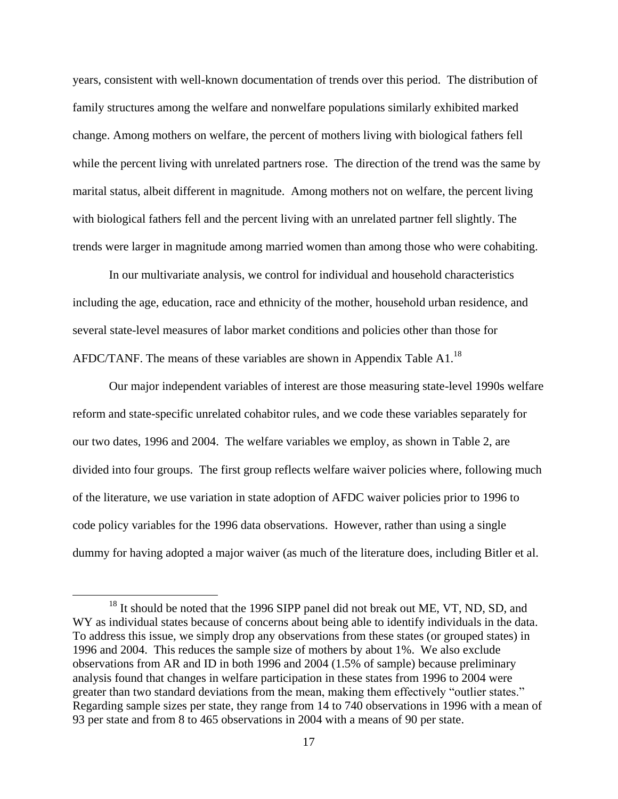years, consistent with well-known documentation of trends over this period. The distribution of family structures among the welfare and nonwelfare populations similarly exhibited marked change. Among mothers on welfare, the percent of mothers living with biological fathers fell while the percent living with unrelated partners rose. The direction of the trend was the same by marital status, albeit different in magnitude. Among mothers not on welfare, the percent living with biological fathers fell and the percent living with an unrelated partner fell slightly. The trends were larger in magnitude among married women than among those who were cohabiting.

In our multivariate analysis, we control for individual and household characteristics including the age, education, race and ethnicity of the mother, household urban residence, and several state-level measures of labor market conditions and policies other than those for AFDC/TANF. The means of these variables are shown in Appendix Table A1.<sup>18</sup>

Our major independent variables of interest are those measuring state-level 1990s welfare reform and state-specific unrelated cohabitor rules, and we code these variables separately for our two dates, 1996 and 2004. The welfare variables we employ, as shown in Table 2, are divided into four groups. The first group reflects welfare waiver policies where, following much of the literature, we use variation in state adoption of AFDC waiver policies prior to 1996 to code policy variables for the 1996 data observations. However, rather than using a single dummy for having adopted a major waiver (as much of the literature does, including Bitler et al.

<sup>&</sup>lt;sup>18</sup> It should be noted that the 1996 SIPP panel did not break out ME, VT, ND, SD, and WY as individual states because of concerns about being able to identify individuals in the data. To address this issue, we simply drop any observations from these states (or grouped states) in 1996 and 2004. This reduces the sample size of mothers by about 1%. We also exclude observations from AR and ID in both 1996 and 2004 (1.5% of sample) because preliminary analysis found that changes in welfare participation in these states from 1996 to 2004 were greater than two standard deviations from the mean, making them effectively "outlier states." Regarding sample sizes per state, they range from 14 to 740 observations in 1996 with a mean of 93 per state and from 8 to 465 observations in 2004 with a means of 90 per state.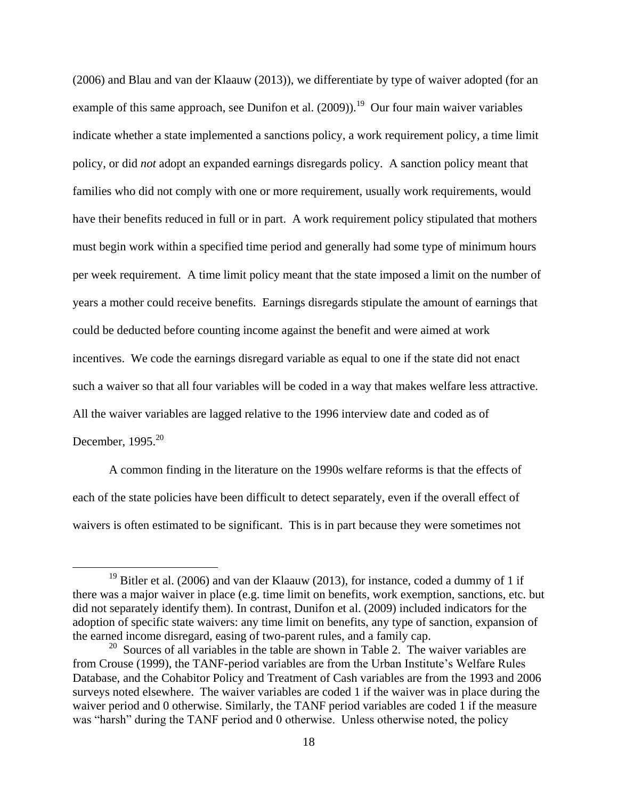(2006) and Blau and van der Klaauw (2013)), we differentiate by type of waiver adopted (for an example of this same approach, see Dunifon et al.  $(2009)$ .<sup>19</sup> Our four main waiver variables indicate whether a state implemented a sanctions policy, a work requirement policy, a time limit policy, or did *not* adopt an expanded earnings disregards policy. A sanction policy meant that families who did not comply with one or more requirement, usually work requirements, would have their benefits reduced in full or in part. A work requirement policy stipulated that mothers must begin work within a specified time period and generally had some type of minimum hours per week requirement. A time limit policy meant that the state imposed a limit on the number of years a mother could receive benefits. Earnings disregards stipulate the amount of earnings that could be deducted before counting income against the benefit and were aimed at work incentives. We code the earnings disregard variable as equal to one if the state did not enact such a waiver so that all four variables will be coded in a way that makes welfare less attractive. All the waiver variables are lagged relative to the 1996 interview date and coded as of December,  $1995.<sup>20</sup>$ 

A common finding in the literature on the 1990s welfare reforms is that the effects of each of the state policies have been difficult to detect separately, even if the overall effect of waivers is often estimated to be significant. This is in part because they were sometimes not

<sup>&</sup>lt;sup>19</sup> Bitler et al. (2006) and van der Klaauw (2013), for instance, coded a dummy of 1 if there was a major waiver in place (e.g. time limit on benefits, work exemption, sanctions, etc. but did not separately identify them). In contrast, Dunifon et al. (2009) included indicators for the adoption of specific state waivers: any time limit on benefits, any type of sanction, expansion of the earned income disregard, easing of two-parent rules, and a family cap.

<sup>&</sup>lt;sup>20</sup> Sources of all variables in the table are shown in Table 2. The waiver variables are from Crouse (1999), the TANF-period variables are from the Urban Institute's Welfare Rules Database, and the Cohabitor Policy and Treatment of Cash variables are from the 1993 and 2006 surveys noted elsewhere. The waiver variables are coded 1 if the waiver was in place during the waiver period and 0 otherwise. Similarly, the TANF period variables are coded 1 if the measure was "harsh" during the TANF period and 0 otherwise. Unless otherwise noted, the policy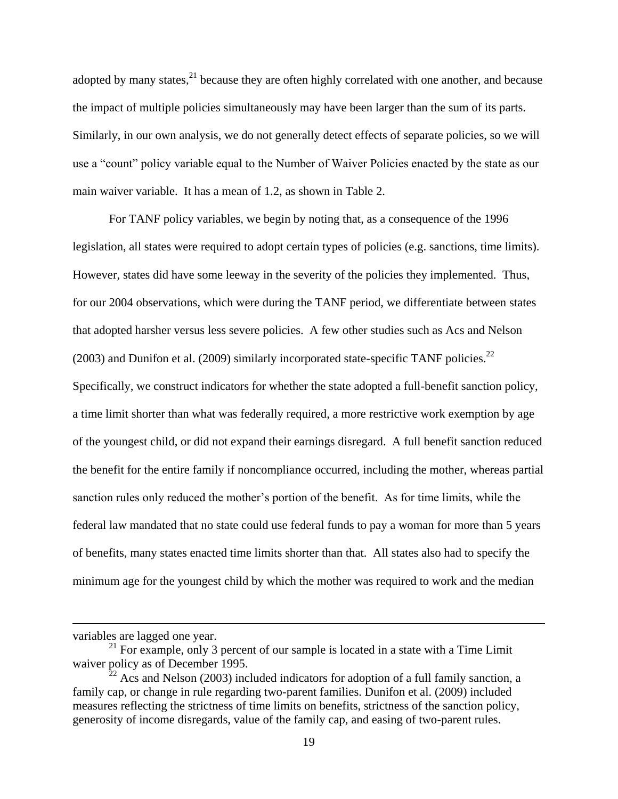adopted by many states, $^{21}$  because they are often highly correlated with one another, and because the impact of multiple policies simultaneously may have been larger than the sum of its parts. Similarly, in our own analysis, we do not generally detect effects of separate policies, so we will use a "count" policy variable equal to the Number of Waiver Policies enacted by the state as our main waiver variable. It has a mean of 1.2, as shown in Table 2.

For TANF policy variables, we begin by noting that, as a consequence of the 1996 legislation, all states were required to adopt certain types of policies (e.g. sanctions, time limits). However, states did have some leeway in the severity of the policies they implemented. Thus, for our 2004 observations, which were during the TANF period, we differentiate between states that adopted harsher versus less severe policies. A few other studies such as Acs and Nelson (2003) and Dunifon et al. (2009) similarly incorporated state-specific TANF policies.<sup>22</sup> Specifically, we construct indicators for whether the state adopted a full-benefit sanction policy, a time limit shorter than what was federally required, a more restrictive work exemption by age of the youngest child, or did not expand their earnings disregard. A full benefit sanction reduced the benefit for the entire family if noncompliance occurred, including the mother, whereas partial sanction rules only reduced the mother's portion of the benefit. As for time limits, while the federal law mandated that no state could use federal funds to pay a woman for more than 5 years of benefits, many states enacted time limits shorter than that. All states also had to specify the minimum age for the youngest child by which the mother was required to work and the median

variables are lagged one year.

 $21$  For example, only 3 percent of our sample is located in a state with a Time Limit waiver policy as of December 1995.

 $^{22}$  Acs and Nelson (2003) included indicators for adoption of a full family sanction, a family cap, or change in rule regarding two-parent families. Dunifon et al. (2009) included measures reflecting the strictness of time limits on benefits, strictness of the sanction policy, generosity of income disregards, value of the family cap, and easing of two-parent rules.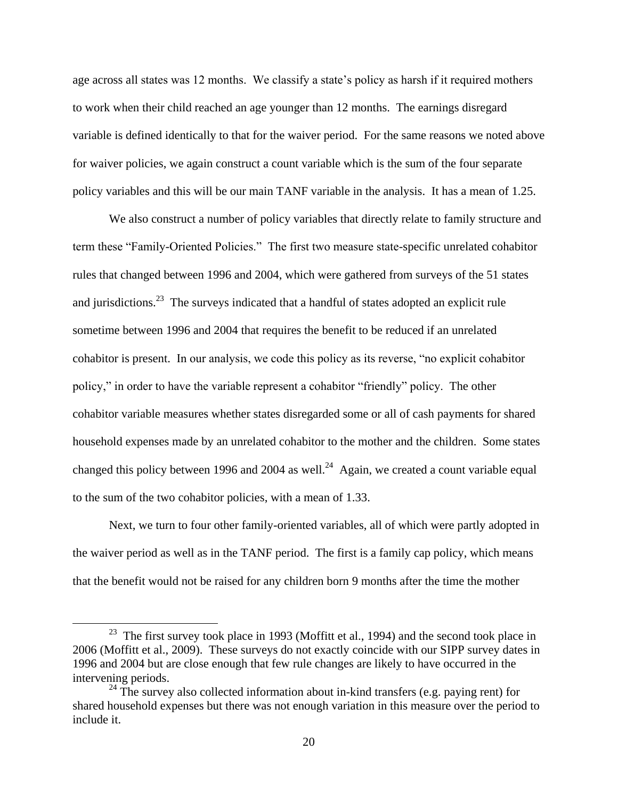age across all states was 12 months. We classify a state's policy as harsh if it required mothers to work when their child reached an age younger than 12 months. The earnings disregard variable is defined identically to that for the waiver period. For the same reasons we noted above for waiver policies, we again construct a count variable which is the sum of the four separate policy variables and this will be our main TANF variable in the analysis. It has a mean of 1.25.

We also construct a number of policy variables that directly relate to family structure and term these "Family-Oriented Policies." The first two measure state-specific unrelated cohabitor rules that changed between 1996 and 2004, which were gathered from surveys of the 51 states and jurisdictions.<sup>23</sup> The surveys indicated that a handful of states adopted an explicit rule sometime between 1996 and 2004 that requires the benefit to be reduced if an unrelated cohabitor is present. In our analysis, we code this policy as its reverse, "no explicit cohabitor policy," in order to have the variable represent a cohabitor "friendly" policy. The other cohabitor variable measures whether states disregarded some or all of cash payments for shared household expenses made by an unrelated cohabitor to the mother and the children. Some states changed this policy between 1996 and 2004 as well.<sup>24</sup> Again, we created a count variable equal to the sum of the two cohabitor policies, with a mean of 1.33.

Next, we turn to four other family-oriented variables, all of which were partly adopted in the waiver period as well as in the TANF period. The first is a family cap policy, which means that the benefit would not be raised for any children born 9 months after the time the mother

<sup>&</sup>lt;sup>23</sup> The first survey took place in 1993 (Moffitt et al., 1994) and the second took place in 2006 (Moffitt et al., 2009). These surveys do not exactly coincide with our SIPP survey dates in 1996 and 2004 but are close enough that few rule changes are likely to have occurred in the intervening periods.

 $24$  The survey also collected information about in-kind transfers (e.g. paying rent) for shared household expenses but there was not enough variation in this measure over the period to include it.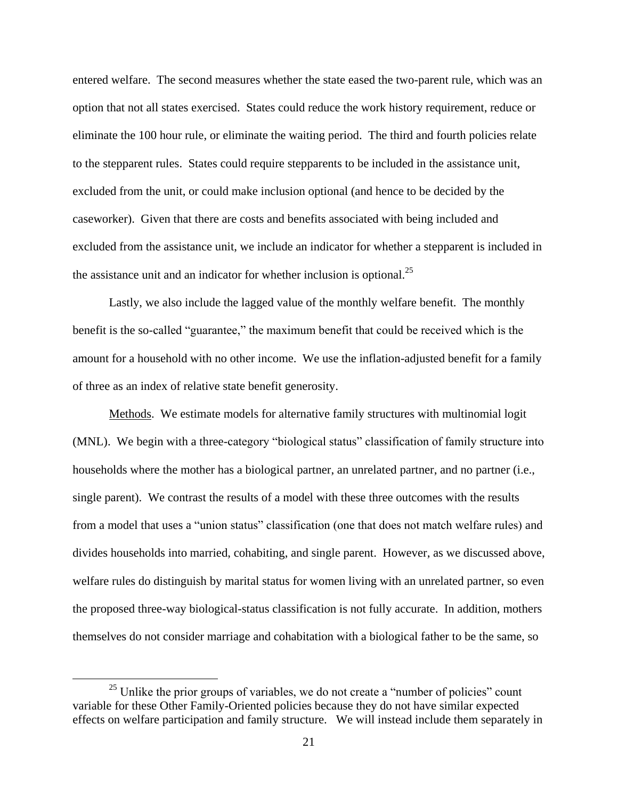entered welfare. The second measures whether the state eased the two-parent rule, which was an option that not all states exercised. States could reduce the work history requirement, reduce or eliminate the 100 hour rule, or eliminate the waiting period. The third and fourth policies relate to the stepparent rules. States could require stepparents to be included in the assistance unit, excluded from the unit, or could make inclusion optional (and hence to be decided by the caseworker). Given that there are costs and benefits associated with being included and excluded from the assistance unit, we include an indicator for whether a stepparent is included in the assistance unit and an indicator for whether inclusion is optional.<sup>25</sup>

Lastly, we also include the lagged value of the monthly welfare benefit. The monthly benefit is the so-called "guarantee," the maximum benefit that could be received which is the amount for a household with no other income. We use the inflation-adjusted benefit for a family of three as an index of relative state benefit generosity.

Methods. We estimate models for alternative family structures with multinomial logit (MNL). We begin with a three-category "biological status" classification of family structure into households where the mother has a biological partner, an unrelated partner, and no partner (i.e., single parent). We contrast the results of a model with these three outcomes with the results from a model that uses a "union status" classification (one that does not match welfare rules) and divides households into married, cohabiting, and single parent. However, as we discussed above, welfare rules do distinguish by marital status for women living with an unrelated partner, so even the proposed three-way biological-status classification is not fully accurate. In addition, mothers themselves do not consider marriage and cohabitation with a biological father to be the same, so

 $25$  Unlike the prior groups of variables, we do not create a "number of policies" count variable for these Other Family-Oriented policies because they do not have similar expected effects on welfare participation and family structure. We will instead include them separately in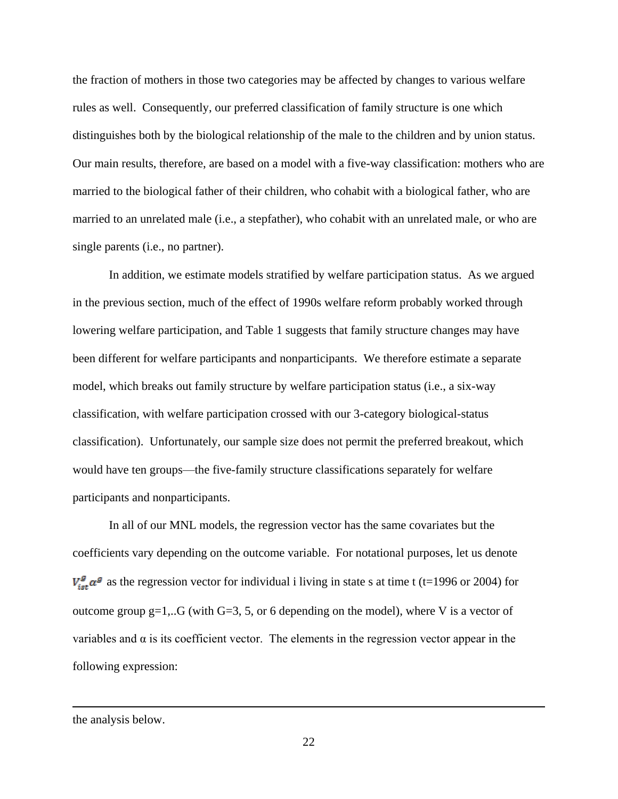the fraction of mothers in those two categories may be affected by changes to various welfare rules as well. Consequently, our preferred classification of family structure is one which distinguishes both by the biological relationship of the male to the children and by union status. Our main results, therefore, are based on a model with a five-way classification: mothers who are married to the biological father of their children, who cohabit with a biological father, who are married to an unrelated male (i.e., a stepfather), who cohabit with an unrelated male, or who are single parents (i.e., no partner).

In addition, we estimate models stratified by welfare participation status. As we argued in the previous section, much of the effect of 1990s welfare reform probably worked through lowering welfare participation, and Table 1 suggests that family structure changes may have been different for welfare participants and nonparticipants. We therefore estimate a separate model, which breaks out family structure by welfare participation status (i.e., a six-way classification, with welfare participation crossed with our 3-category biological-status classification). Unfortunately, our sample size does not permit the preferred breakout, which would have ten groups—the five-family structure classifications separately for welfare participants and nonparticipants.

In all of our MNL models, the regression vector has the same covariates but the coefficients vary depending on the outcome variable. For notational purposes, let us denote  $V_{\text{ist}}^g \alpha^g$  as the regression vector for individual i living in state s at time t (t=1996 or 2004) for outcome group  $g=1...G$  (with  $G=3, 5$ , or 6 depending on the model), where V is a vector of variables and  $\alpha$  is its coefficient vector. The elements in the regression vector appear in the following expression:

the analysis below.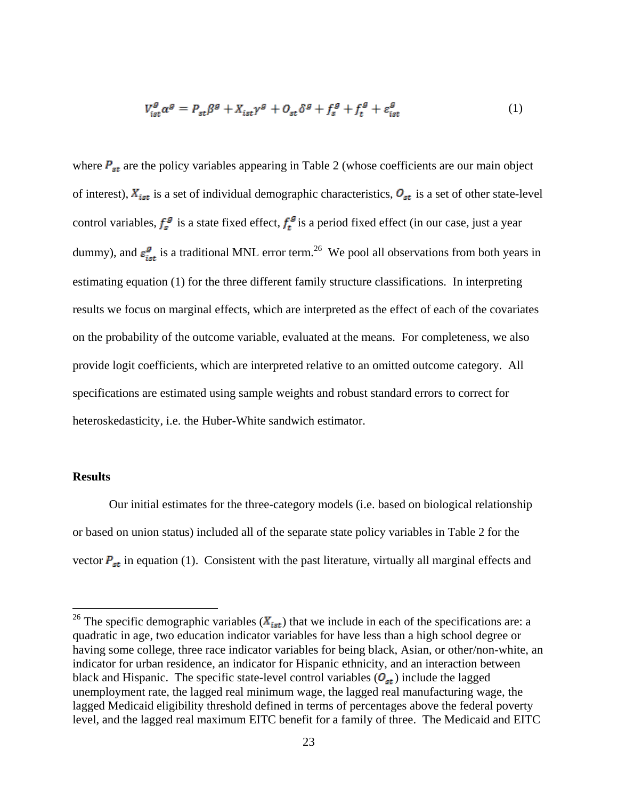$$
V_{\text{ist}}^{g} \alpha^{g} = P_{\text{st}} \beta^{g} + X_{\text{ist}} \gamma^{g} + O_{\text{st}} \delta^{g} + f_{\text{s}}^{g} + f_{\text{t}}^{g} + \varepsilon_{\text{ist}}^{g}
$$
(1)

where  $P_{st}$  are the policy variables appearing in Table 2 (whose coefficients are our main object of interest),  $X_{ist}$  is a set of individual demographic characteristics,  $O_{st}$  is a set of other state-level control variables,  $f_s^g$  is a state fixed effect,  $f_t^g$  is a period fixed effect (in our case, just a year dummy), and  $\varepsilon_{\rm tot}^g$  is a traditional MNL error term.<sup>26</sup> We pool all observations from both years in estimating equation (1) for the three different family structure classifications. In interpreting results we focus on marginal effects, which are interpreted as the effect of each of the covariates on the probability of the outcome variable, evaluated at the means. For completeness, we also provide logit coefficients, which are interpreted relative to an omitted outcome category. All specifications are estimated using sample weights and robust standard errors to correct for heteroskedasticity, i.e. the Huber-White sandwich estimator.

#### **Results**

 $\overline{a}$ 

Our initial estimates for the three-category models (i.e. based on biological relationship or based on union status) included all of the separate state policy variables in Table 2 for the vector  $P_{st}$  in equation (1). Consistent with the past literature, virtually all marginal effects and

<sup>&</sup>lt;sup>26</sup> The specific demographic variables  $(X_{ist})$  that we include in each of the specifications are: a quadratic in age, two education indicator variables for have less than a high school degree or having some college, three race indicator variables for being black, Asian, or other/non-white, an indicator for urban residence, an indicator for Hispanic ethnicity, and an interaction between black and Hispanic. The specific state-level control variables  $(O_{st})$  include the lagged unemployment rate, the lagged real minimum wage, the lagged real manufacturing wage, the lagged Medicaid eligibility threshold defined in terms of percentages above the federal poverty level, and the lagged real maximum EITC benefit for a family of three. The Medicaid and EITC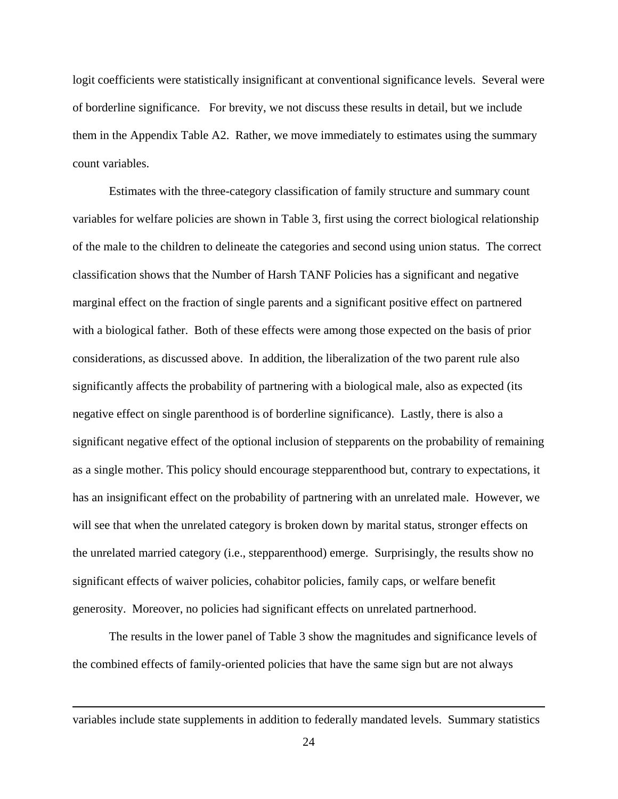logit coefficients were statistically insignificant at conventional significance levels. Several were of borderline significance. For brevity, we not discuss these results in detail, but we include them in the Appendix Table A2. Rather, we move immediately to estimates using the summary count variables.

Estimates with the three-category classification of family structure and summary count variables for welfare policies are shown in Table 3, first using the correct biological relationship of the male to the children to delineate the categories and second using union status. The correct classification shows that the Number of Harsh TANF Policies has a significant and negative marginal effect on the fraction of single parents and a significant positive effect on partnered with a biological father. Both of these effects were among those expected on the basis of prior considerations, as discussed above. In addition, the liberalization of the two parent rule also significantly affects the probability of partnering with a biological male, also as expected (its negative effect on single parenthood is of borderline significance). Lastly, there is also a significant negative effect of the optional inclusion of stepparents on the probability of remaining as a single mother. This policy should encourage stepparenthood but, contrary to expectations, it has an insignificant effect on the probability of partnering with an unrelated male. However, we will see that when the unrelated category is broken down by marital status, stronger effects on the unrelated married category (i.e., stepparenthood) emerge. Surprisingly, the results show no significant effects of waiver policies, cohabitor policies, family caps, or welfare benefit generosity. Moreover, no policies had significant effects on unrelated partnerhood.

The results in the lower panel of Table 3 show the magnitudes and significance levels of the combined effects of family-oriented policies that have the same sign but are not always

variables include state supplements in addition to federally mandated levels. Summary statistics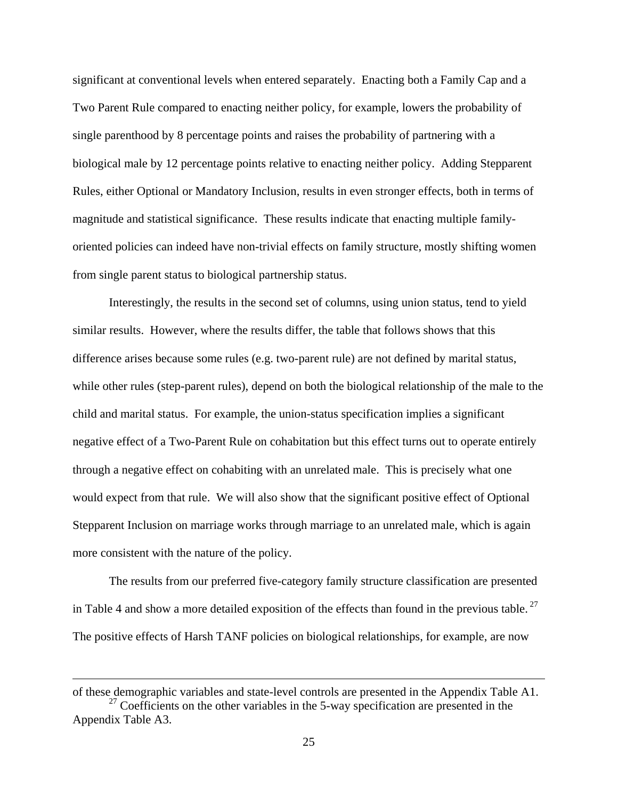significant at conventional levels when entered separately. Enacting both a Family Cap and a Two Parent Rule compared to enacting neither policy, for example, lowers the probability of single parenthood by 8 percentage points and raises the probability of partnering with a biological male by 12 percentage points relative to enacting neither policy. Adding Stepparent Rules, either Optional or Mandatory Inclusion, results in even stronger effects, both in terms of magnitude and statistical significance. These results indicate that enacting multiple familyoriented policies can indeed have non-trivial effects on family structure, mostly shifting women from single parent status to biological partnership status.

Interestingly, the results in the second set of columns, using union status, tend to yield similar results. However, where the results differ, the table that follows shows that this difference arises because some rules (e.g. two-parent rule) are not defined by marital status, while other rules (step-parent rules), depend on both the biological relationship of the male to the child and marital status. For example, the union-status specification implies a significant negative effect of a Two-Parent Rule on cohabitation but this effect turns out to operate entirely through a negative effect on cohabiting with an unrelated male. This is precisely what one would expect from that rule. We will also show that the significant positive effect of Optional Stepparent Inclusion on marriage works through marriage to an unrelated male, which is again more consistent with the nature of the policy.

The results from our preferred five-category family structure classification are presented in Table 4 and show a more detailed exposition of the effects than found in the previous table.<sup>27</sup> The positive effects of Harsh TANF policies on biological relationships, for example, are now

of these demographic variables and state-level controls are presented in the Appendix Table A1.  $27$  Coefficients on the other variables in the 5-way specification are presented in the Appendix Table A3.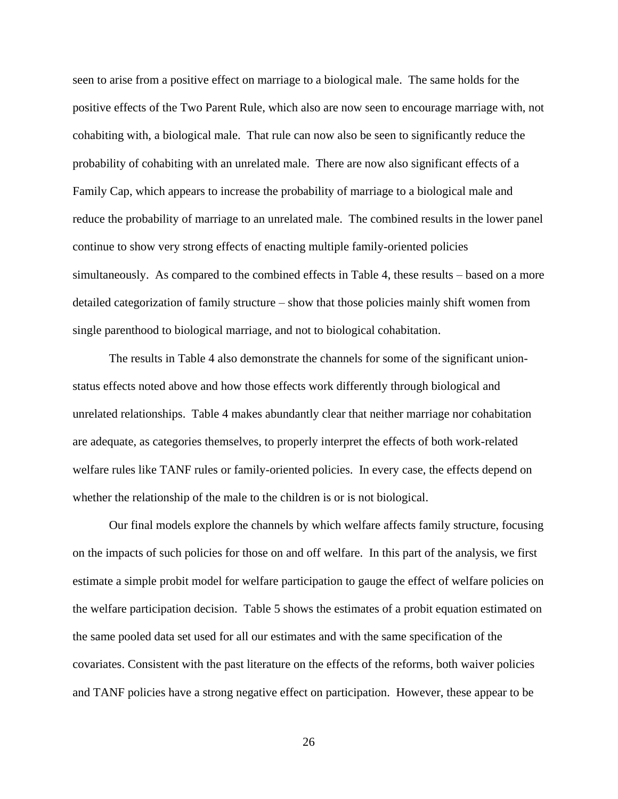seen to arise from a positive effect on marriage to a biological male. The same holds for the positive effects of the Two Parent Rule, which also are now seen to encourage marriage with, not cohabiting with, a biological male. That rule can now also be seen to significantly reduce the probability of cohabiting with an unrelated male. There are now also significant effects of a Family Cap, which appears to increase the probability of marriage to a biological male and reduce the probability of marriage to an unrelated male. The combined results in the lower panel continue to show very strong effects of enacting multiple family-oriented policies simultaneously. As compared to the combined effects in Table 4, these results – based on a more detailed categorization of family structure – show that those policies mainly shift women from single parenthood to biological marriage, and not to biological cohabitation.

The results in Table 4 also demonstrate the channels for some of the significant unionstatus effects noted above and how those effects work differently through biological and unrelated relationships. Table 4 makes abundantly clear that neither marriage nor cohabitation are adequate, as categories themselves, to properly interpret the effects of both work-related welfare rules like TANF rules or family-oriented policies. In every case, the effects depend on whether the relationship of the male to the children is or is not biological.

Our final models explore the channels by which welfare affects family structure, focusing on the impacts of such policies for those on and off welfare. In this part of the analysis, we first estimate a simple probit model for welfare participation to gauge the effect of welfare policies on the welfare participation decision. Table 5 shows the estimates of a probit equation estimated on the same pooled data set used for all our estimates and with the same specification of the covariates. Consistent with the past literature on the effects of the reforms, both waiver policies and TANF policies have a strong negative effect on participation. However, these appear to be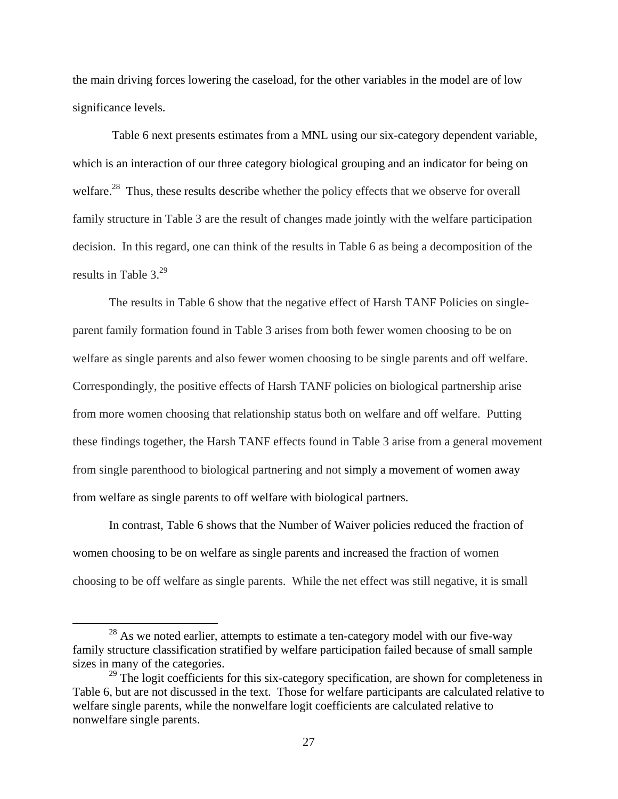the main driving forces lowering the caseload, for the other variables in the model are of low significance levels.

Table 6 next presents estimates from a MNL using our six-category dependent variable, which is an interaction of our three category biological grouping and an indicator for being on welfare.<sup>28</sup> Thus, these results describe whether the policy effects that we observe for overall family structure in Table 3 are the result of changes made jointly with the welfare participation decision. In this regard, one can think of the results in Table 6 as being a decomposition of the results in Table  $3.^{29}$ 

The results in Table 6 show that the negative effect of Harsh TANF Policies on singleparent family formation found in Table 3 arises from both fewer women choosing to be on welfare as single parents and also fewer women choosing to be single parents and off welfare. Correspondingly, the positive effects of Harsh TANF policies on biological partnership arise from more women choosing that relationship status both on welfare and off welfare. Putting these findings together, the Harsh TANF effects found in Table 3 arise from a general movement from single parenthood to biological partnering and not simply a movement of women away from welfare as single parents to off welfare with biological partners.

In contrast, Table 6 shows that the Number of Waiver policies reduced the fraction of women choosing to be on welfare as single parents and increased the fraction of women choosing to be off welfare as single parents. While the net effect was still negative, it is small

 $^{28}$  As we noted earlier, attempts to estimate a ten-category model with our five-way family structure classification stratified by welfare participation failed because of small sample sizes in many of the categories.

<sup>&</sup>lt;sup>29</sup> The logit coefficients for this six-category specification, are shown for completeness in Table 6, but are not discussed in the text. Those for welfare participants are calculated relative to welfare single parents, while the nonwelfare logit coefficients are calculated relative to nonwelfare single parents.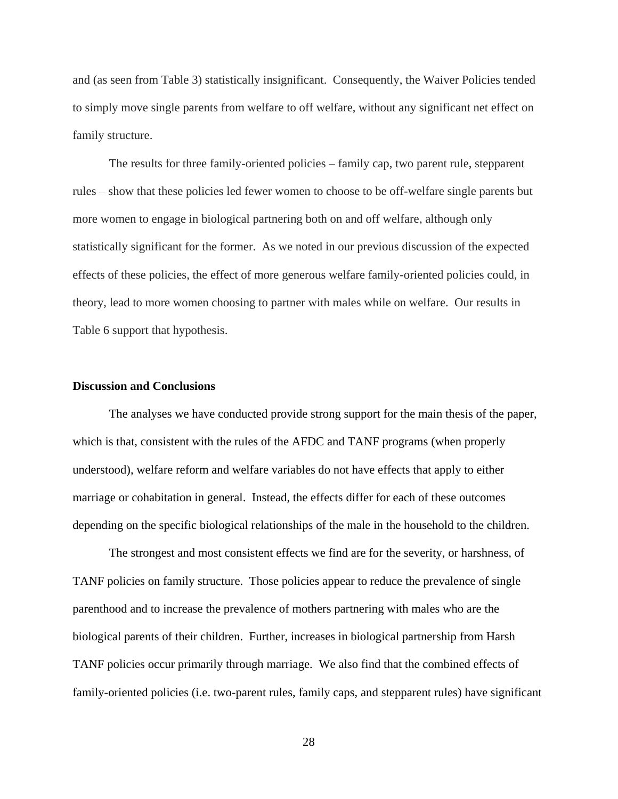and (as seen from Table 3) statistically insignificant. Consequently, the Waiver Policies tended to simply move single parents from welfare to off welfare, without any significant net effect on family structure.

The results for three family-oriented policies – family cap, two parent rule, stepparent rules – show that these policies led fewer women to choose to be off-welfare single parents but more women to engage in biological partnering both on and off welfare, although only statistically significant for the former. As we noted in our previous discussion of the expected effects of these policies, the effect of more generous welfare family-oriented policies could, in theory, lead to more women choosing to partner with males while on welfare. Our results in Table 6 support that hypothesis.

#### **Discussion and Conclusions**

The analyses we have conducted provide strong support for the main thesis of the paper, which is that, consistent with the rules of the AFDC and TANF programs (when properly understood), welfare reform and welfare variables do not have effects that apply to either marriage or cohabitation in general. Instead, the effects differ for each of these outcomes depending on the specific biological relationships of the male in the household to the children.

The strongest and most consistent effects we find are for the severity, or harshness, of TANF policies on family structure. Those policies appear to reduce the prevalence of single parenthood and to increase the prevalence of mothers partnering with males who are the biological parents of their children. Further, increases in biological partnership from Harsh TANF policies occur primarily through marriage. We also find that the combined effects of family-oriented policies (i.e. two-parent rules, family caps, and stepparent rules) have significant

28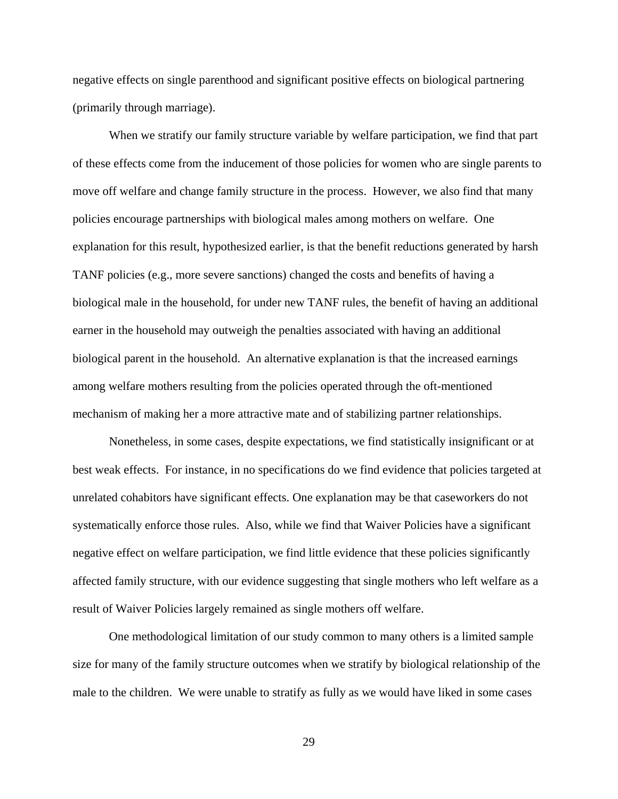negative effects on single parenthood and significant positive effects on biological partnering (primarily through marriage).

When we stratify our family structure variable by welfare participation, we find that part of these effects come from the inducement of those policies for women who are single parents to move off welfare and change family structure in the process. However, we also find that many policies encourage partnerships with biological males among mothers on welfare. One explanation for this result, hypothesized earlier, is that the benefit reductions generated by harsh TANF policies (e.g., more severe sanctions) changed the costs and benefits of having a biological male in the household, for under new TANF rules, the benefit of having an additional earner in the household may outweigh the penalties associated with having an additional biological parent in the household. An alternative explanation is that the increased earnings among welfare mothers resulting from the policies operated through the oft-mentioned mechanism of making her a more attractive mate and of stabilizing partner relationships.

Nonetheless, in some cases, despite expectations, we find statistically insignificant or at best weak effects. For instance, in no specifications do we find evidence that policies targeted at unrelated cohabitors have significant effects. One explanation may be that caseworkers do not systematically enforce those rules. Also, while we find that Waiver Policies have a significant negative effect on welfare participation, we find little evidence that these policies significantly affected family structure, with our evidence suggesting that single mothers who left welfare as a result of Waiver Policies largely remained as single mothers off welfare.

One methodological limitation of our study common to many others is a limited sample size for many of the family structure outcomes when we stratify by biological relationship of the male to the children. We were unable to stratify as fully as we would have liked in some cases

29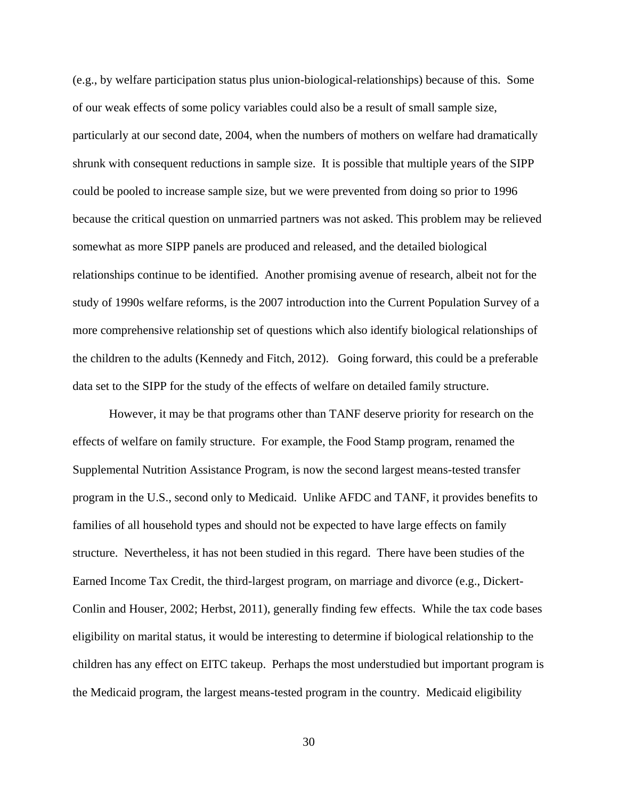(e.g., by welfare participation status plus union-biological-relationships) because of this. Some of our weak effects of some policy variables could also be a result of small sample size, particularly at our second date, 2004, when the numbers of mothers on welfare had dramatically shrunk with consequent reductions in sample size. It is possible that multiple years of the SIPP could be pooled to increase sample size, but we were prevented from doing so prior to 1996 because the critical question on unmarried partners was not asked. This problem may be relieved somewhat as more SIPP panels are produced and released, and the detailed biological relationships continue to be identified. Another promising avenue of research, albeit not for the study of 1990s welfare reforms, is the 2007 introduction into the Current Population Survey of a more comprehensive relationship set of questions which also identify biological relationships of the children to the adults (Kennedy and Fitch, 2012). Going forward, this could be a preferable data set to the SIPP for the study of the effects of welfare on detailed family structure.

However, it may be that programs other than TANF deserve priority for research on the effects of welfare on family structure. For example, the Food Stamp program, renamed the Supplemental Nutrition Assistance Program, is now the second largest means-tested transfer program in the U.S., second only to Medicaid. Unlike AFDC and TANF, it provides benefits to families of all household types and should not be expected to have large effects on family structure. Nevertheless, it has not been studied in this regard. There have been studies of the Earned Income Tax Credit, the third-largest program, on marriage and divorce (e.g., Dickert-Conlin and Houser, 2002; Herbst, 2011), generally finding few effects. While the tax code bases eligibility on marital status, it would be interesting to determine if biological relationship to the children has any effect on EITC takeup. Perhaps the most understudied but important program is the Medicaid program, the largest means-tested program in the country. Medicaid eligibility

30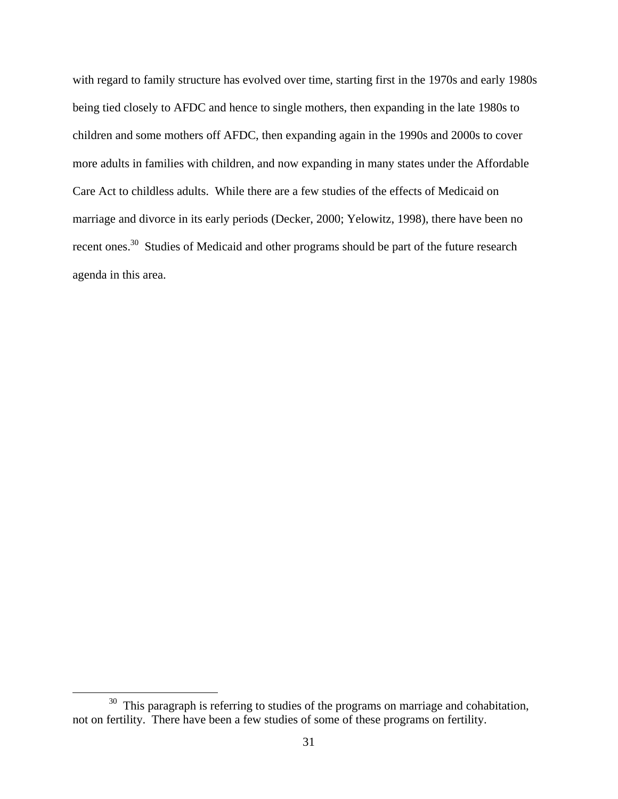with regard to family structure has evolved over time, starting first in the 1970s and early 1980s being tied closely to AFDC and hence to single mothers, then expanding in the late 1980s to children and some mothers off AFDC, then expanding again in the 1990s and 2000s to cover more adults in families with children, and now expanding in many states under the Affordable Care Act to childless adults. While there are a few studies of the effects of Medicaid on marriage and divorce in its early periods (Decker, 2000; Yelowitz, 1998), there have been no recent ones.<sup>30</sup> Studies of Medicaid and other programs should be part of the future research agenda in this area.

 $30$  This paragraph is referring to studies of the programs on marriage and cohabitation, not on fertility. There have been a few studies of some of these programs on fertility.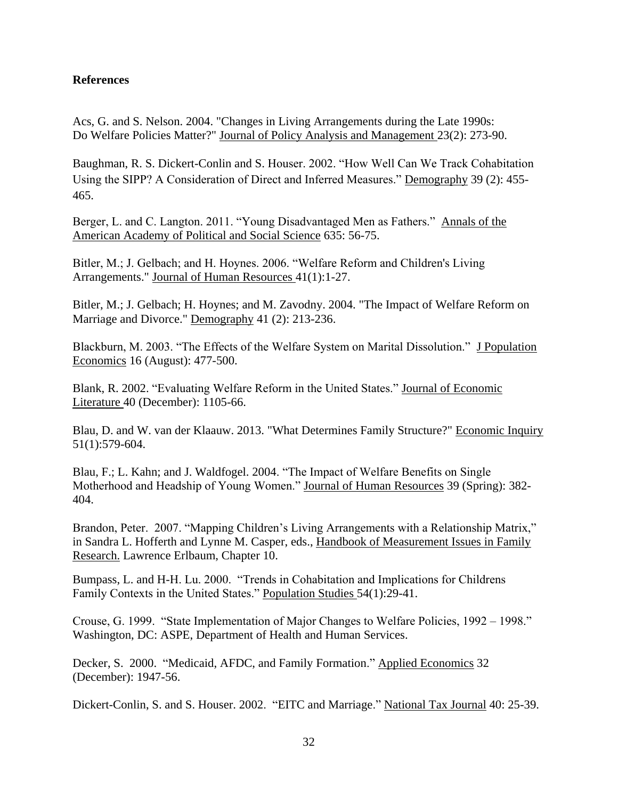#### **References**

Acs, G. and S. Nelson. 2004. "Changes in Living Arrangements during the Late 1990s: Do Welfare Policies Matter?" Journal of Policy Analysis and Management 23(2): 273-90.

Baughman, R. S. Dickert-Conlin and S. Houser. 2002. "How Well Can We Track Cohabitation Using the SIPP? A Consideration of Direct and Inferred Measures." Demography 39 (2): 455-465.

Berger, L. and C. Langton. 2011. "Young Disadvantaged Men as Fathers." Annals of the American Academy of Political and Social Science 635: 56-75.

Bitler, M.; J. Gelbach; and H. Hoynes. 2006. "Welfare Reform and Children's Living Arrangements." Journal of Human Resources 41(1):1-27.

Bitler, M.; J. Gelbach; H. Hoynes; and M. Zavodny. 2004. "The Impact of Welfare Reform on Marriage and Divorce." Demography 41 (2): 213-236.

Blackburn, M. 2003. "The Effects of the Welfare System on Marital Dissolution." J Population Economics 16 (August): 477-500.

Blank, R. 2002. "Evaluating Welfare Reform in the United States." Journal of Economic Literature 40 (December): 1105-66.

Blau, D. and W. van der Klaauw. 2013. "What Determines Family Structure?" Economic Inquiry 51(1):579-604.

Blau, F.; L. Kahn; and J. Waldfogel. 2004. "The Impact of Welfare Benefits on Single Motherhood and Headship of Young Women." Journal of Human Resources 39 (Spring): 382-404.

Brandon, Peter. 2007. "Mapping Children's Living Arrangements with a Relationship Matrix," in Sandra L. Hofferth and Lynne M. Casper, eds., Handbook of Measurement Issues in Family Research. Lawrence Erlbaum, Chapter 10.

Bumpass, L. and H-H. Lu. 2000. "Trends in Cohabitation and Implications for Childrens Family Contexts in the United States." Population Studies 54(1):29-41.

Crouse, G. 1999. "State Implementation of Major Changes to Welfare Policies, 1992 – 1998." Washington, DC: ASPE, Department of Health and Human Services.

Decker, S. 2000. "Medicaid, AFDC, and Family Formation." Applied Economics 32 (December): 1947-56.

Dickert-Conlin, S. and S. Houser. 2002. "EITC and Marriage." National Tax Journal 40: 25-39.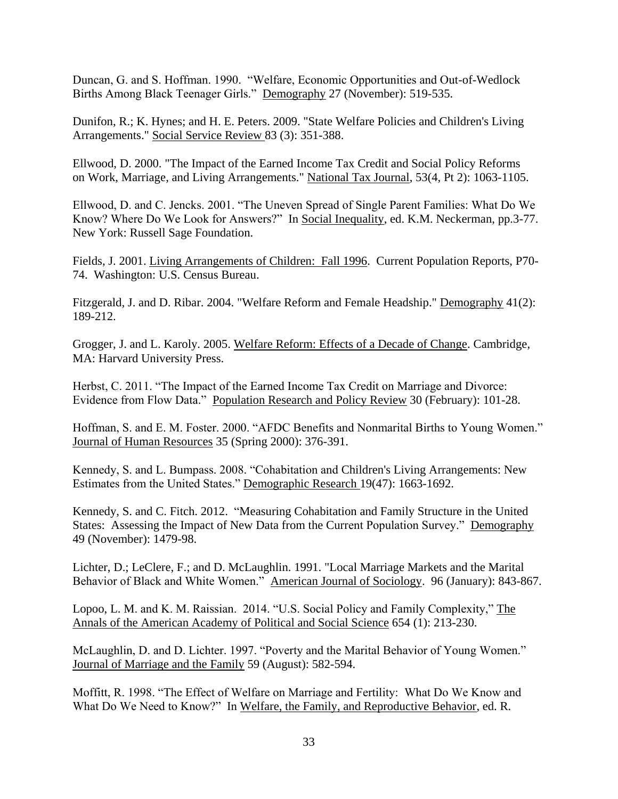Duncan, G. and S. Hoffman. 1990. "Welfare, Economic Opportunities and Out-of-Wedlock Births Among Black Teenager Girls." Demography 27 (November): 519-535.

Dunifon, R.; K. Hynes; and H. E. Peters. 2009. "State Welfare Policies and Children's Living Arrangements." Social Service Review 83 (3): 351-388.

Ellwood, D. 2000. "The Impact of the Earned Income Tax Credit and Social Policy Reforms on Work, Marriage, and Living Arrangements." National Tax Journal, 53(4, Pt 2): 1063-1105.

Ellwood, D. and C. Jencks. 2001. "The Uneven Spread of Single Parent Families: What Do We Know? Where Do We Look for Answers?" In Social Inequality, ed. K.M. Neckerman, pp.3-77. New York: Russell Sage Foundation.

Fields, J. 2001. Living Arrangements of Children: Fall 1996. Current Population Reports, P70- 74. Washington: U.S. Census Bureau.

Fitzgerald, J. and D. Ribar. 2004. "Welfare Reform and Female Headship." Demography 41(2): 189-212.

Grogger, J. and L. Karoly. 2005. Welfare Reform: Effects of a Decade of Change. Cambridge, MA: Harvard University Press.

Herbst, C. 2011. "The Impact of the Earned Income Tax Credit on Marriage and Divorce: Evidence from Flow Data." Population Research and Policy Review 30 (February): 101-28.

Hoffman, S. and E. M. Foster. 2000. "AFDC Benefits and Nonmarital Births to Young Women." Journal of Human Resources 35 (Spring 2000): 376-391.

Kennedy, S. and L. Bumpass. 2008. "Cohabitation and Children's Living Arrangements: New Estimates from the United States." Demographic Research 19(47): 1663-1692.

Kennedy, S. and C. Fitch. 2012. "Measuring Cohabitation and Family Structure in the United States: Assessing the Impact of New Data from the Current Population Survey." Demography 49 (November): 1479-98.

Lichter, D.; LeClere, F.; and D. McLaughlin. 1991. "Local Marriage Markets and the Marital Behavior of Black and White Women." American Journal of Sociology. 96 (January): 843-867.

Lopoo, L. M. and K. M. Raissian. 2014. "U.S. Social Policy and Family Complexity," The Annals of the American Academy of Political and Social Science 654 (1): 213-230.

McLaughlin, D. and D. Lichter. 1997. "Poverty and the Marital Behavior of Young Women." Journal of Marriage and the Family 59 (August): 582-594.

Moffitt, R. 1998. "The Effect of Welfare on Marriage and Fertility: What Do We Know and What Do We Need to Know?" In Welfare, the Family, and Reproductive Behavior, ed. R.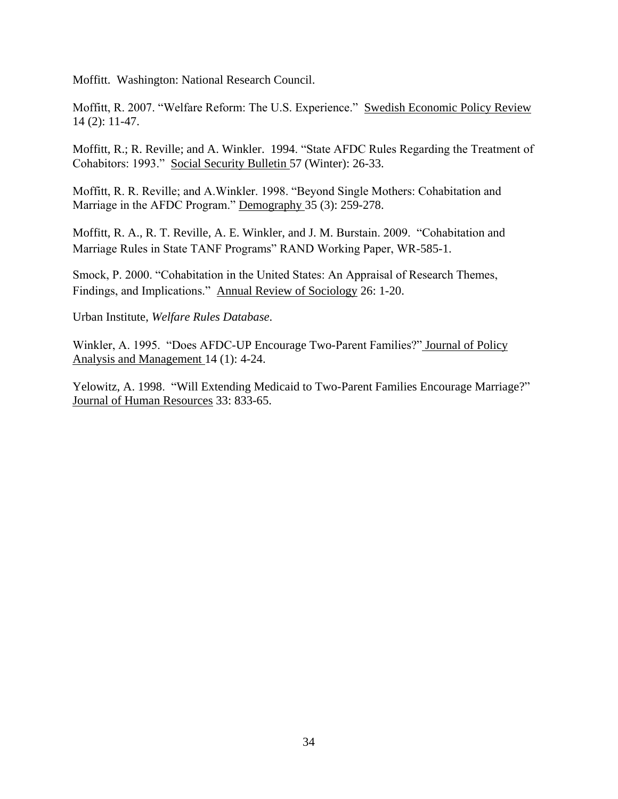Moffitt. Washington: National Research Council.

Moffitt, R. 2007. "Welfare Reform: The U.S. Experience." Swedish Economic Policy Review 14 (2): 11-47.

Moffitt, R.; R. Reville; and A. Winkler. 1994. "State AFDC Rules Regarding the Treatment of Cohabitors: 1993." Social Security Bulletin 57 (Winter): 26-33.

Moffitt, R. R. Reville; and A. Winkler. 1998. "Beyond Single Mothers: Cohabitation and Marriage in the AFDC Program." Demography 35 (3): 259-278.

Moffitt, R. A., R. T. Reville, A. E. Winkler, and J. M. Burstain. 2009. "Cohabitation and Marriage Rules in State TANF Programs" RAND Working Paper, WR-585-1.

Smock, P. 2000. "Cohabitation in the United States: An Appraisal of Research Themes, Findings, and Implications." Annual Review of Sociology 26: 1-20.

Urban Institute, *Welfare Rules Database*.

Winkler, A. 1995. "Does AFDC-UP Encourage Two-Parent Families?" Journal of Policy Analysis and Management 14 (1): 4-24.

Yelowitz, A. 1998. "Will Extending Medicaid to Two-Parent Families Encourage Marriage?" Journal of Human Resources 33: 833-65.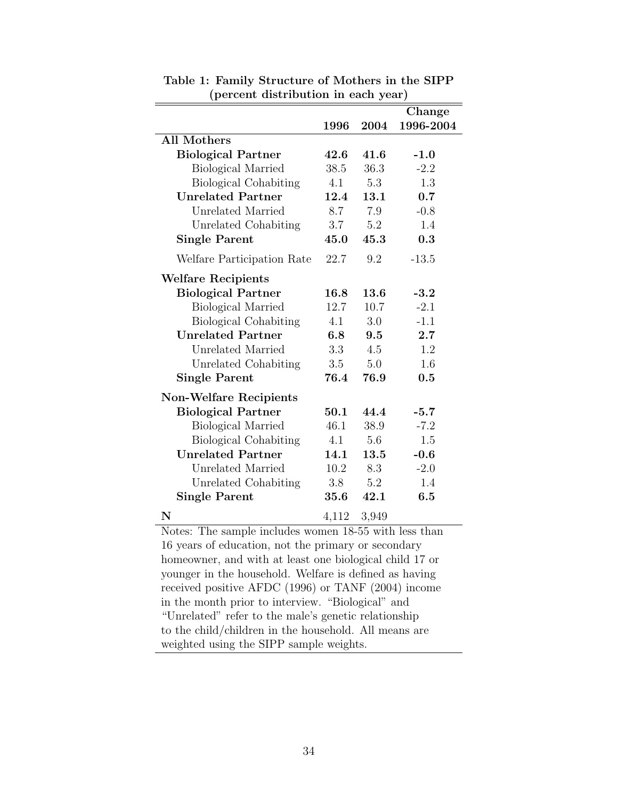|                               |       |       | Change    |
|-------------------------------|-------|-------|-----------|
|                               | 1996  | 2004  | 1996-2004 |
| <b>All Mothers</b>            |       |       |           |
| <b>Biological Partner</b>     | 42.6  | 41.6  | $-1.0$    |
| <b>Biological Married</b>     | 38.5  | 36.3  | $-2.2$    |
| <b>Biological Cohabiting</b>  | 4.1   | 5.3   | 1.3       |
| <b>Unrelated Partner</b>      | 12.4  | 13.1  | 0.7       |
| Unrelated Married             | 8.7   | 7.9   | $-0.8$    |
| Unrelated Cohabiting          | 3.7   | 5.2   | 1.4       |
| <b>Single Parent</b>          | 45.0  | 45.3  | 0.3       |
| Welfare Participation Rate    | 22.7  | 9.2   | $-13.5$   |
| <b>Welfare Recipients</b>     |       |       |           |
| <b>Biological Partner</b>     | 16.8  | 13.6  | $-3.2$    |
| <b>Biological Married</b>     | 12.7  | 10.7  | $-2.1$    |
| <b>Biological Cohabiting</b>  | 4.1   | 3.0   | $-1.1$    |
| <b>Unrelated Partner</b>      | 6.8   | 9.5   | 2.7       |
| Unrelated Married             | 3.3   | 4.5   | 1.2       |
| Unrelated Cohabiting          | 3.5   | 5.0   | 1.6       |
| <b>Single Parent</b>          | 76.4  | 76.9  | 0.5       |
| <b>Non-Welfare Recipients</b> |       |       |           |
| <b>Biological Partner</b>     | 50.1  | 44.4  | $-5.7$    |
| <b>Biological Married</b>     | 46.1  | 38.9  | $-7.2$    |
| <b>Biological Cohabiting</b>  | 4.1   | 5.6   | 1.5       |
| <b>Unrelated Partner</b>      | 14.1  | 13.5  | $-0.6$    |
| Unrelated Married             | 10.2  | 8.3   | $-2.0$    |
| Unrelated Cohabiting          | 3.8   | 5.2   | 1.4       |
| <b>Single Parent</b>          | 35.6  | 42.1  | 6.5       |
| $\mathbf N$                   | 4,112 | 3,949 |           |

Table 1: Family Structure of Mothers in the SIPP (percent distribution in each year)

Notes: The sample includes women 18-55 with less than 16 years of education, not the primary or secondary homeowner, and with at least one biological child 17 or younger in the household. Welfare is defined as having received positive AFDC (1996) or TANF (2004) income in the month prior to interview. "Biological" and "Unrelated" refer to the male's genetic relationship to the child/children in the household. All means are weighted using the SIPP sample weights.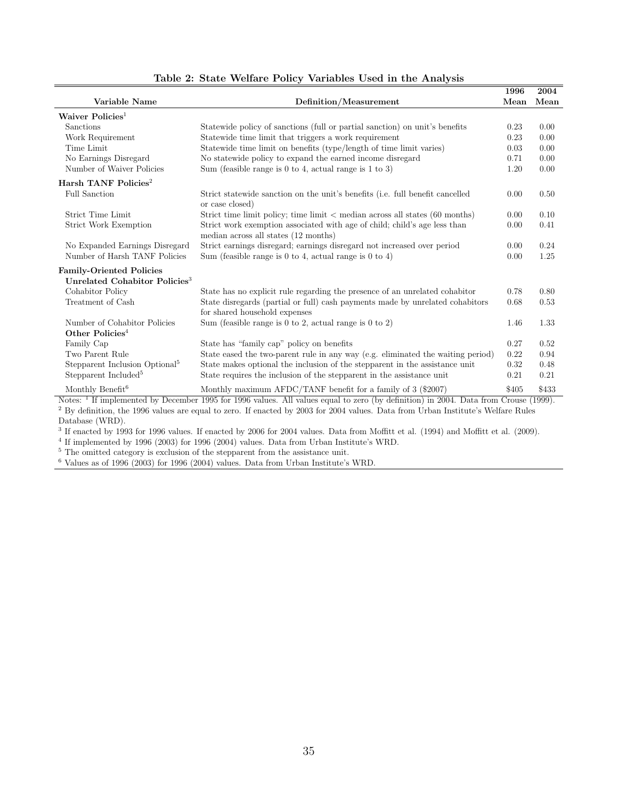|                                                                                                                                                 |                                                                                                  | 1996  | 2004  |  |  |
|-------------------------------------------------------------------------------------------------------------------------------------------------|--------------------------------------------------------------------------------------------------|-------|-------|--|--|
| Variable Name                                                                                                                                   | Definition/Measurement                                                                           | Mean  | Mean  |  |  |
| Waiver Policies <sup>1</sup>                                                                                                                    |                                                                                                  |       |       |  |  |
| Sanctions                                                                                                                                       | Statewide policy of sanctions (full or partial sanction) on unit's benefits                      | 0.23  | 0.00  |  |  |
| Work Requirement                                                                                                                                | Statewide time limit that triggers a work requirement                                            | 0.23  | 0.00  |  |  |
| Time Limit                                                                                                                                      | Statewide time limit on benefits (type/length of time limit varies)                              | 0.03  | 0.00  |  |  |
| No Earnings Disregard                                                                                                                           | No statewide policy to expand the earned income disregard                                        | 0.71  | 0.00  |  |  |
| Number of Waiver Policies                                                                                                                       | Sum (feasible range is 0 to 4, actual range is 1 to 3)                                           | 1.20  | 0.00  |  |  |
| Harsh TANF Policies <sup>2</sup>                                                                                                                |                                                                                                  |       |       |  |  |
| <b>Full Sanction</b>                                                                                                                            | Strict statewide sanction on the unit's benefits (i.e. full benefit cancelled<br>or case closed) | 0.00  | 0.50  |  |  |
| Strict Time Limit                                                                                                                               | Strict time limit policy; time limit $\lt$ median across all states (60 months)                  | 0.00  | 0.10  |  |  |
| <b>Strict Work Exemption</b>                                                                                                                    | Strict work exemption associated with age of child; child's age less than                        | 0.00  | 0.41  |  |  |
|                                                                                                                                                 | median across all states (12 months)                                                             |       |       |  |  |
| No Expanded Earnings Disregard                                                                                                                  | Strict earnings disregard; earnings disregard not increased over period                          | 0.00  | 0.24  |  |  |
| Number of Harsh TANF Policies                                                                                                                   | Sum (feasible range is 0 to 4, actual range is 0 to 4)                                           | 0.00  | 1.25  |  |  |
| <b>Family-Oriented Policies</b>                                                                                                                 |                                                                                                  |       |       |  |  |
| Unrelated Cohabitor Policies <sup>3</sup>                                                                                                       |                                                                                                  |       |       |  |  |
| Cohabitor Policy                                                                                                                                | State has no explicit rule regarding the presence of an unrelated cohabitor                      | 0.78  | 0.80  |  |  |
| Treatment of Cash                                                                                                                               | State disregards (partial or full) cash payments made by unrelated cohabitors                    | 0.68  | 0.53  |  |  |
|                                                                                                                                                 | for shared household expenses                                                                    |       |       |  |  |
| Number of Cohabitor Policies                                                                                                                    | Sum (feasible range is 0 to 2, actual range is 0 to 2)                                           | 1.46  | 1.33  |  |  |
| Other Policies <sup>4</sup>                                                                                                                     |                                                                                                  |       |       |  |  |
| Family Cap                                                                                                                                      | State has "family cap" policy on benefits                                                        | 0.27  | 0.52  |  |  |
| Two Parent Rule                                                                                                                                 | State eased the two-parent rule in any way (e.g. eliminated the waiting period)                  | 0.22  | 0.94  |  |  |
| Stepparent Inclusion Optional <sup>5</sup>                                                                                                      | State makes optional the inclusion of the stepparent in the assistance unit                      | 0.32  | 0.48  |  |  |
| Stepparent Included <sup>5</sup>                                                                                                                | State requires the inclusion of the stepparent in the assistance unit                            | 0.21  | 0.21  |  |  |
| Monthly Benefit <sup><math>6</math></sup>                                                                                                       | Monthly maximum AFDC/TANF benefit for a family of 3 (\$2007)                                     | \$405 | \$433 |  |  |
| Notes: <sup>1</sup> If implemented by December 1995 for 1996 values. All values equal to zero (by definition) in 2004. Data from Crouse (1999). |                                                                                                  |       |       |  |  |
| <sup>2</sup> By definition, the 1996 values are equal to zero. If enacted by 2003 for 2004 values. Data from Urban Institute's Welfare Rules    |                                                                                                  |       |       |  |  |

#### Table 2: State Welfare Policy Variables Used in the Analysis

Database (WRD).

<sup>3</sup> If enacted by 1993 for 1996 values. If enacted by 2006 for 2004 values. Data from Moffitt et al. (1994) and Moffitt et al. (2009).

4 If implemented by 1996 (2003) for 1996 (2004) values. Data from Urban Institute's WRD.

<sup>5</sup> The omitted category is exclusion of the stepparent from the assistance unit.

 $6$  Values as of 1996 (2003) for 1996 (2004) values. Data from Urban Institute's WRD.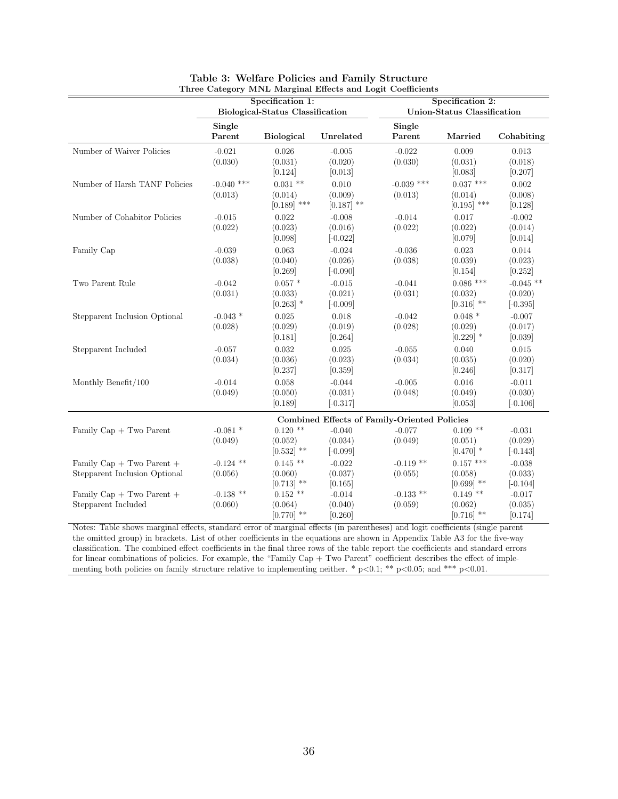|                               |              | Specification 1:                 |              |                                              | Specification 2:            |             |  |
|-------------------------------|--------------|----------------------------------|--------------|----------------------------------------------|-----------------------------|-------------|--|
|                               |              | Biological-Status Classification |              |                                              | Union-Status Classification |             |  |
|                               |              |                                  |              |                                              |                             |             |  |
|                               | Single       |                                  |              | Single                                       |                             |             |  |
|                               | Parent       | <b>Biological</b>                | Unrelated    | Parent                                       | Married                     | Cohabiting  |  |
| Number of Waiver Policies     | $-0.021$     | 0.026                            | $-0.005$     | $-0.022$                                     | 0.009                       | 0.013       |  |
|                               | (0.030)      | (0.031)                          | (0.020)      | (0.030)                                      | (0.031)                     | (0.018)     |  |
|                               |              | [0.124]                          | [0.013]      |                                              | [0.083]                     | [0.207]     |  |
| Number of Harsh TANF Policies | $-0.040$ *** | $0.031$ **                       | 0.010        | $-0.039$ ***                                 | $0.037$ ***                 | 0.002       |  |
|                               | (0.013)      | (0.014)                          | (0.009)      | (0.013)                                      | (0.014)                     | (0.008)     |  |
|                               |              | $[0.189]$ ***                    | $[0.187]$ ** |                                              | $[0.195]$ ***               | [0.128]     |  |
| Number of Cohabitor Policies  | $-0.015$     | 0.022                            | $-0.008$     | $-0.014$                                     | 0.017                       | $-0.002$    |  |
|                               | (0.022)      | (0.023)                          | (0.016)      | (0.022)                                      | (0.022)                     | (0.014)     |  |
|                               |              | [0.098]                          | $[-0.022]$   |                                              | [0.079]                     | [0.014]     |  |
| Family Cap                    | $-0.039$     | 0.063                            | $-0.024$     | $-0.036$                                     | 0.023                       | 0.014       |  |
|                               | (0.038)      | (0.040)                          | (0.026)      | (0.038)                                      | (0.039)                     | (0.023)     |  |
|                               |              | [0.269]                          | $[-0.090]$   |                                              | [0.154]                     | [0.252]     |  |
| Two Parent Rule               | $-0.042$     | $0.057*$                         | $-0.015$     | $-0.041$                                     | $0.086$ ***                 | $-0.045$ ** |  |
|                               | (0.031)      | (0.033)                          | (0.021)      | (0.031)                                      | (0.032)                     | (0.020)     |  |
|                               |              | $[0.263]$ *                      | $[-0.009]$   |                                              | $[0.316]$ **                | $[-0.395]$  |  |
| Stepparent Inclusion Optional | $-0.043$ *   | 0.025                            | 0.018        | $-0.042$                                     | $0.048*$                    | $-0.007$    |  |
|                               | (0.028)      | (0.029)                          | (0.019)      | (0.028)                                      | (0.029)                     | (0.017)     |  |
|                               |              | [0.181]                          | [0.264]      |                                              | $[0.229]$ *                 | [0.039]     |  |
| Stepparent Included           | $-0.057$     | 0.032                            | 0.025        | $-0.055$                                     | 0.040                       | $\,0.015\,$ |  |
|                               | (0.034)      | (0.036)                          | (0.023)      | (0.034)                                      | (0.035)                     | (0.020)     |  |
|                               |              | [0.237]                          | [0.359]      |                                              | [0.246]                     | [0.317]     |  |
| Monthly Benefit/100           | $-0.014$     | 0.058                            | $-0.044$     | $-0.005$                                     | 0.016                       | $-0.011$    |  |
|                               | (0.049)      | (0.050)                          | (0.031)      | (0.048)                                      | (0.049)                     | (0.030)     |  |
|                               |              | [0.189]                          | $[-0.317]$   |                                              | [0.053]                     | $[-0.106]$  |  |
|                               |              |                                  |              | Combined Effects of Family-Oriented Policies |                             |             |  |
| Family $Cap + Two$ Parent     | $-0.081$ *   | $0.120$ **                       | $-0.040$     | $-0.077$                                     | $0.109**$                   | $-0.031$    |  |
|                               | (0.049)      | (0.052)                          | (0.034)      | (0.049)                                      | (0.051)                     | (0.029)     |  |
|                               |              | $[0.532]$ **                     | $[-0.099]$   |                                              | $[0.470]$ *                 | $[-0.143]$  |  |
| Family $Cap + Two Parent +$   | $-0.124$ **  | $0.145**$                        | $-0.022$     | $-0.119$ **                                  | $0.157$ ***                 | $-0.038$    |  |
| Stepparent Inclusion Optional | (0.056)      | (0.060)                          | (0.037)      | (0.055)                                      | (0.058)                     | (0.033)     |  |
|                               |              | $[0.713]$ **                     | [0.165]      |                                              | $[0.699]$ **                | $[-0.104]$  |  |
| Family $Cap + Two Parent +$   | $-0.138$ **  | $0.152**$                        | $-0.014$     | $-0.133$ **                                  | $0.149**$                   | $-0.017$    |  |
| Stepparent Included           | (0.060)      | (0.064)                          | (0.040)      | (0.059)                                      | (0.062)                     | (0.035)     |  |
|                               |              | $[0.770]$ **                     | [0.260]      |                                              | $[0.716]$ **                | [0.174]     |  |

| Table 3: Welfare Policies and Family Structure             |
|------------------------------------------------------------|
| Three Category MNL Marginal Effects and Logit Coefficients |

Notes: Table shows marginal effects, standard error of marginal effects (in parentheses) and logit coefficients (single parent the omitted group) in brackets. List of other coefficients in the equations are shown in Appendix Table A3 for the five-way classification. The combined effect coefficients in the final three rows of the table report the coefficients and standard errors for linear combinations of policies. For example, the "Family Cap + Two Parent" coefficient describes the effect of implementing both policies on family structure relative to implementing neither. \* p<0.1; \*\* p<0.05; and \*\*\* p<0.01.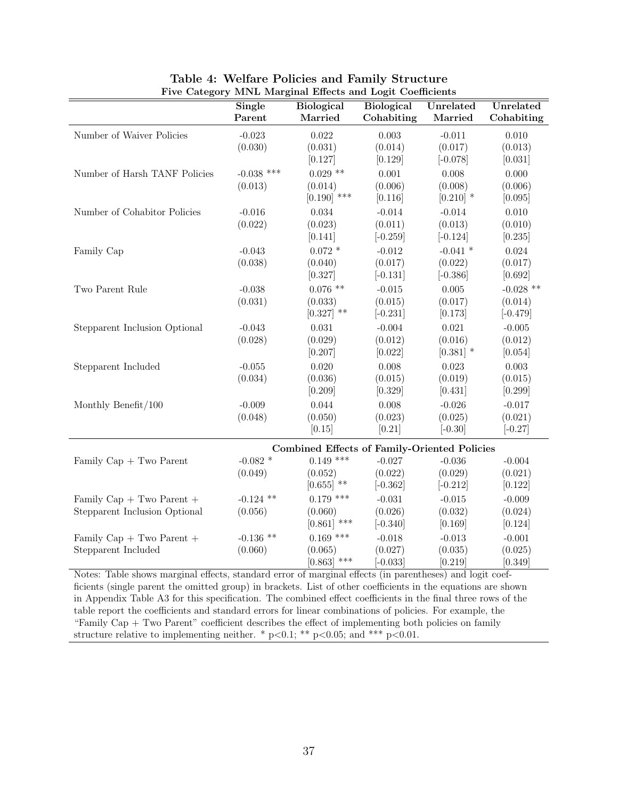|                                                                                                        | <b>Single</b><br>Parent | <b>Biological</b><br>Married                                       | <b>Biological</b><br>Cohabiting | Unrelated<br>Married   | Unrelated<br>Cohabiting |
|--------------------------------------------------------------------------------------------------------|-------------------------|--------------------------------------------------------------------|---------------------------------|------------------------|-------------------------|
| Number of Waiver Policies                                                                              | $-0.023$                | 0.022                                                              | 0.003                           | $-0.011$               | 0.010                   |
|                                                                                                        | (0.030)                 | (0.031)<br>[0.127]                                                 | (0.014)<br>[0.129]              | (0.017)<br>$[-0.078]$  | (0.013)<br>[0.031]      |
| Number of Harsh TANF Policies                                                                          | $-0.038$ ***            | $0.029$ **                                                         | 0.001                           | 0.008                  | 0.000                   |
|                                                                                                        | (0.013)                 | (0.014)<br>$[0.190]$ ***                                           | (0.006)<br>[0.116]              | (0.008)<br>$[0.210]$ * | (0.006)                 |
| Number of Cohabitor Policies                                                                           | $-0.016$                | 0.034                                                              | $-0.014$                        | $-0.014$               | [0.095]<br>0.010        |
|                                                                                                        | (0.022)                 | (0.023)<br>[0.141]                                                 | (0.011)<br>$[-0.259]$           | (0.013)<br>$[-0.124]$  | (0.010)<br>[0.235]      |
| Family Cap                                                                                             | $-0.043$                | $0.072$ *                                                          | $-0.012$                        | $-0.041$ *             | $0.024\,$               |
|                                                                                                        | (0.038)                 | (0.040)<br>[0.327]                                                 | (0.017)<br>$[-0.131]$           | (0.022)<br>$[-0.386]$  | (0.017)<br>[0.692]      |
| Two Parent Rule                                                                                        | $-0.038$                | $0.076$ **                                                         | $-0.015$                        | 0.005                  | $-0.028$ **             |
|                                                                                                        | (0.031)                 | (0.033)<br>$[0.327]$ **                                            | (0.015)<br>$[-0.231]$           | (0.017)<br>[0.173]     | (0.014)<br>$[-0.479]$   |
| Stepparent Inclusion Optional                                                                          | $-0.043$                | 0.031                                                              | $-0.004$                        | 0.021                  | $-0.005$                |
|                                                                                                        | (0.028)                 | (0.029)<br>[0.207]                                                 | (0.012)<br>[0.022]              | (0.016)<br>$[0.381]$ * | (0.012)<br>[0.054]      |
| Stepparent Included                                                                                    | $-0.055$                | 0.020                                                              | 0.008                           | 0.023                  | 0.003                   |
|                                                                                                        | (0.034)                 | (0.036)<br>[0.209]                                                 | (0.015)<br>[0.329]              | (0.019)<br>[0.431]     | (0.015)<br>[0.299]      |
| Monthly Benefit/100                                                                                    | $-0.009$                | 0.044                                                              | 0.008                           | $-0.026$               | $-0.017$                |
|                                                                                                        | (0.048)                 | (0.050)                                                            | (0.023)                         | (0.025)                | (0.021)                 |
|                                                                                                        |                         | [0.15]                                                             | $[0.21]$                        | $[-0.30]$              | $[-0.27]$               |
| Family Cap + Two Parent                                                                                | $-0.082$ *              | <b>Combined Effects of Family-Oriented Policies</b><br>$0.149$ *** | $-0.027$                        | $-0.036$               | $-0.004$                |
|                                                                                                        | (0.049)                 | (0.052)                                                            | (0.022)                         | (0.029)                | (0.021)                 |
|                                                                                                        |                         | $[0.655]$ **                                                       | $[-0.362]$                      | $[-0.212]$             | [0.122]                 |
| Family $Cap + Two Parent +$                                                                            | $-0.124$ **             | $0.179$ ***                                                        | $-0.031$                        | $-0.015$               | $-0.009$                |
| Stepparent Inclusion Optional                                                                          | (0.056)                 | (0.060)                                                            | (0.026)                         | (0.032)                | (0.024)                 |
| Family $Cap + Two Parent +$                                                                            | $-0.136$ **             | $[0.861]$ ***<br>$0.169$ ***                                       | $[-0.340]$<br>$-0.018$          | [0.169]<br>$-0.013$    | [0.124]<br>$-0.001$     |
| Stepparent Included                                                                                    | (0.060)                 | (0.065)                                                            | (0.027)                         | (0.035)                | (0.025)                 |
| Notes: Table shows marginal effects, standard even of marginal effects (in parentheses) and legit soof |                         | $[0.863]$ ***                                                      | $[-0.033]$                      | [0.219]                | [0.349]                 |

| Table 4: Welfare Policies and Family Structure            |  |
|-----------------------------------------------------------|--|
| Five Category MNL Marginal Effects and Logit Coefficients |  |

Notes: Table shows marginal effects, standard error of marginal effects (in parentheses) and logit coefficients (single parent the omitted group) in brackets. List of other coefficients in the equations are shown in Appendix Table A3 for this specification. The combined effect coefficients in the final three rows of the table report the coefficients and standard errors for linear combinations of policies. For example, the "Family Cap + Two Parent" coefficient describes the effect of implementing both policies on family structure relative to implementing neither. \*  $p < 0.1$ ; \*\*  $p < 0.05$ ; and \*\*\*  $p < 0.01$ .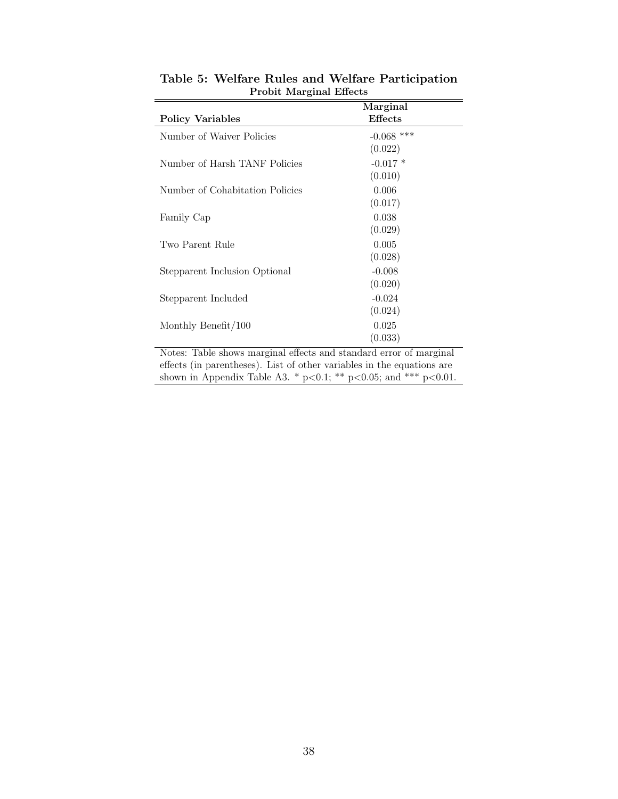| 1 TODIU IVIDI KINDI LIILLUS                                        |                       |
|--------------------------------------------------------------------|-----------------------|
| <b>Policy Variables</b>                                            | Marginal<br>Effects   |
| Number of Waiver Policies                                          | $-0.068$ ***          |
| Number of Harsh TANF Policies                                      | (0.022)<br>$-0.017$ * |
| Number of Cohabitation Policies                                    | (0.010)<br>0.006      |
|                                                                    | (0.017)               |
| Family Cap                                                         | 0.038<br>(0.029)      |
| Two Parent Rule                                                    | 0.005                 |
| Stepparent Inclusion Optional                                      | (0.028)<br>$-0.008$   |
| Stepparent Included                                                | (0.020)<br>$-0.024$   |
|                                                                    | (0.024)               |
| Monthly Benefit/ $100$                                             | 0.025<br>(0.033)      |
| Notes: Table shows marginal effects and standard error of marginal |                       |

Table 5: Welfare Rules and Welfare Participation Probit Marginal Effects

effects (in parentheses). List of other variables in the equations are shown in Appendix Table A3. \* p<0.1; \*\* p<0.05; and \*\*\* p<0.01.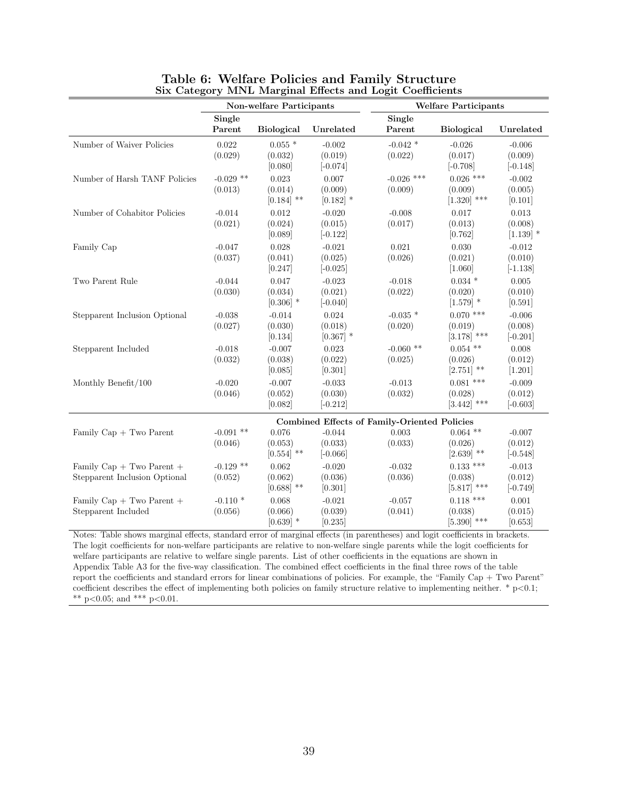|                                                                |                        | Non-welfare Participants         |                                   |                                              | <b>Welfare Participants</b>             |                                   |
|----------------------------------------------------------------|------------------------|----------------------------------|-----------------------------------|----------------------------------------------|-----------------------------------------|-----------------------------------|
|                                                                | Single<br>Parent       | <b>Biological</b>                | Unrelated                         | Single<br>Parent                             | <b>Biological</b>                       | Unrelated                         |
| Number of Waiver Policies                                      | 0.022<br>(0.029)       | $0.055*$<br>(0.032)<br>[0.080]   | $-0.002$<br>(0.019)<br>$[-0.074]$ | $-0.042$ *<br>(0.022)                        | $-0.026$<br>(0.017)<br>$[-0.708]$       | $-0.006$<br>(0.009)<br>$[-0.148]$ |
| Number of Harsh TANF Policies                                  | $-0.029$ **<br>(0.013) | 0.023<br>(0.014)<br>$[0.184]$ ** | 0.007<br>(0.009)<br>$[0.182]$ *   | $-0.026$ ***<br>(0.009)                      | $0.026$ ***<br>(0.009)<br>$[1.320]$ *** | $-0.002$<br>(0.005)<br>[0.101]    |
| Number of Cohabitor Policies                                   | $-0.014$<br>(0.021)    | 0.012<br>(0.024)<br>[0.089]      | $-0.020$<br>(0.015)<br>$[-0.122]$ | $-0.008$<br>(0.017)                          | 0.017<br>(0.013)<br>[0.762]             | 0.013<br>(0.008)<br>$[1.139]$ *   |
| Family Cap                                                     | $-0.047$<br>(0.037)    | 0.028<br>(0.041)<br>[0.247]      | $-0.021$<br>(0.025)<br>$[-0.025]$ | 0.021<br>(0.026)                             | 0.030<br>(0.021)<br>[1.060]             | $-0.012$<br>(0.010)<br>$[-1.138]$ |
| Two Parent Rule                                                | $-0.044$<br>(0.030)    | 0.047<br>(0.034)<br>$[0.306]$ *  | $-0.023$<br>(0.021)<br>$[-0.040]$ | $-0.018$<br>(0.022)                          | $0.034$ *<br>(0.020)<br>$[1.579]$ *     | 0.005<br>(0.010)<br>[0.591]       |
| Stepparent Inclusion Optional                                  | $-0.038$<br>(0.027)    | $-0.014$<br>(0.030)<br>[0.134]   | 0.024<br>(0.018)<br>$[0.367]$ *   | $-0.035$ *<br>(0.020)                        | $0.070$ ***<br>(0.019)<br>$[3.178]$ *** | $-0.006$<br>(0.008)<br>$[-0.201]$ |
| Stepparent Included                                            | $-0.018$<br>(0.032)    | $-0.007$<br>(0.038)<br>[0.085]   | 0.023<br>(0.022)<br>[0.301]       | $-0.060$ **<br>(0.025)                       | $0.054$ **<br>(0.026)<br>$[2.751]$ **   | 0.008<br>(0.012)<br>[1.201]       |
| Monthly Benefit/100                                            | $-0.020$<br>(0.046)    | $-0.007$<br>(0.052)<br>[0.082]   | $-0.033$<br>(0.030)<br>$[-0.212]$ | $-0.013$<br>(0.032)                          | $0.081$ ***<br>(0.028)<br>$[3.442]$ *** | $-0.009$<br>(0.012)<br>$[-0.603]$ |
|                                                                |                        |                                  |                                   | Combined Effects of Family-Oriented Policies |                                         |                                   |
| Family $Cap + Two$ Parent                                      | $-0.091$ **<br>(0.046) | 0.076<br>(0.053)<br>$[0.554]$ ** | $-0.044$<br>(0.033)<br>$[-0.066]$ | 0.003<br>(0.033)                             | $0.064$ **<br>(0.026)<br>$[2.639]$ **   | $-0.007$<br>(0.012)<br>$[-0.548]$ |
| Family Cap $+$ Two Parent $+$<br>Stepparent Inclusion Optional | $-0.129$ **<br>(0.052) | 0.062<br>(0.062)<br>$[0.688]$ ** | $-0.020$<br>(0.036)<br>[0.301]    | $-0.032$<br>(0.036)                          | $0.133$ ***<br>(0.038)<br>$[5.817]$ *** | $-0.013$<br>(0.012)<br>$[-0.749]$ |
| Family $Cap + Two Parent +$<br>Stepparent Included             | $-0.110*$<br>(0.056)   | 0.068<br>(0.066)<br>$[0.639]$ *  | $-0.021$<br>(0.039)<br>[0.235]    | $-0.057$<br>(0.041)                          | $0.118$ ***<br>(0.038)<br>$[5.390]$ *** | 0.001<br>(0.015)<br>[0.653]       |

#### Table 6: Welfare Policies and Family Structure Six Category MNL Marginal Effects and Logit Coefficients

Notes: Table shows marginal effects, standard error of marginal effects (in parentheses) and logit coefficients in brackets. The logit coefficients for non-welfare participants are relative to non-welfare single parents while the logit coefficients for welfare participants are relative to welfare single parents. List of other coefficients in the equations are shown in Appendix Table A3 for the five-way classification. The combined effect coefficients in the final three rows of the table report the coefficients and standard errors for linear combinations of policies. For example, the "Family Cap + Two Parent" coefficient describes the effect of implementing both policies on family structure relative to implementing neither. \*  $p<0.1$ ; \*\* p<0.05; and \*\*\* p<0.01.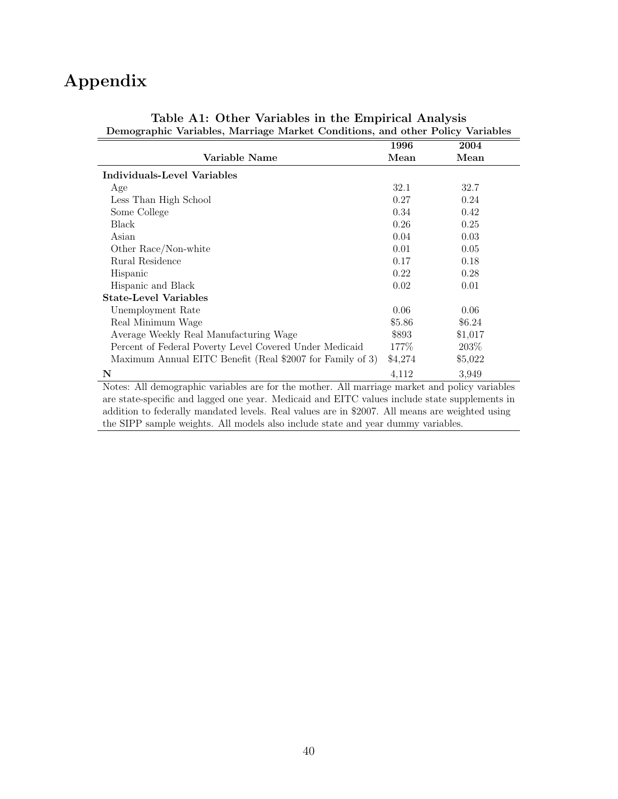## Appendix

| Demographic variables, ividiriage ividinet Conditions, and other I only variables                                                                                                                                                                                              |         |         |  |  |
|--------------------------------------------------------------------------------------------------------------------------------------------------------------------------------------------------------------------------------------------------------------------------------|---------|---------|--|--|
|                                                                                                                                                                                                                                                                                | 1996    | 2004    |  |  |
| Variable Name                                                                                                                                                                                                                                                                  | Mean    | Mean    |  |  |
| <b>Individuals-Level Variables</b>                                                                                                                                                                                                                                             |         |         |  |  |
| Age                                                                                                                                                                                                                                                                            | 32.1    | 32.7    |  |  |
| Less Than High School                                                                                                                                                                                                                                                          | 0.27    | 0.24    |  |  |
| Some College                                                                                                                                                                                                                                                                   | 0.34    | 0.42    |  |  |
| Black                                                                                                                                                                                                                                                                          | 0.26    | 0.25    |  |  |
| Asian                                                                                                                                                                                                                                                                          | 0.04    | 0.03    |  |  |
| Other Race/Non-white                                                                                                                                                                                                                                                           | 0.01    | 0.05    |  |  |
| Rural Residence                                                                                                                                                                                                                                                                | 0.17    | 0.18    |  |  |
| Hispanic                                                                                                                                                                                                                                                                       | 0.22    | 0.28    |  |  |
| Hispanic and Black                                                                                                                                                                                                                                                             | 0.02    | 0.01    |  |  |
| <b>State-Level Variables</b>                                                                                                                                                                                                                                                   |         |         |  |  |
| Unemployment Rate                                                                                                                                                                                                                                                              | 0.06    | 0.06    |  |  |
| Real Minimum Wage                                                                                                                                                                                                                                                              | \$5.86  | \$6.24  |  |  |
| Average Weekly Real Manufacturing Wage                                                                                                                                                                                                                                         | \$893   | \$1,017 |  |  |
| Percent of Federal Poverty Level Covered Under Medicaid                                                                                                                                                                                                                        | 177%    | 203\%   |  |  |
| Maximum Annual EITC Benefit (Real \$2007 for Family of 3)                                                                                                                                                                                                                      | \$4,274 | \$5,022 |  |  |
| N                                                                                                                                                                                                                                                                              | 4,112   | 3,949   |  |  |
| Notes: All demographic variables are for the mother. All marriage market and policy variables                                                                                                                                                                                  |         |         |  |  |
| are state-specific and lagged one year. Medicaid and EITC values include state supplements in                                                                                                                                                                                  |         |         |  |  |
| $\mathbf{A} \cup \mathbf{B}$ is the set of $\mathbf{A}$ in the set of $\mathbf{A}$ is the set of $\mathbf{A}$ is the set of $\mathbf{A}$ is the set of $\mathbf{A}$ is the set of $\mathbf{A}$ is the set of $\mathbf{A}$ is the set of $\mathbf{A}$ is the set of $\mathbf{A$ |         |         |  |  |

| Table A1: Other Variables in the Empirical Analysis                           |  |
|-------------------------------------------------------------------------------|--|
| Demographic Variables, Marriage Market Conditions, and other Policy Variables |  |

addition to federally mandated levels. Real values are in \$2007. All means are weighted using the SIPP sample weights. All models also include state and year dummy variables.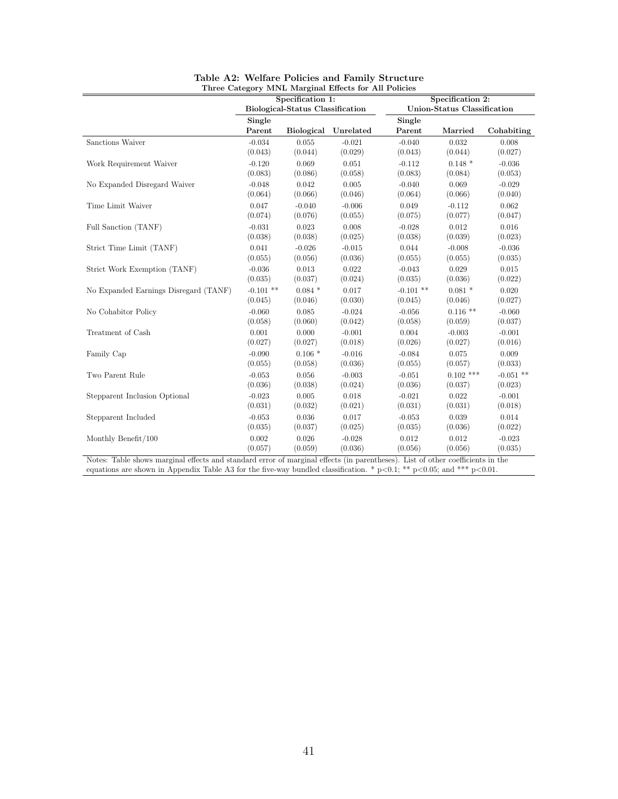|                                       |                  | Specification 1:                 | Three Category MINL Marginal Effects for All Policies |                  | Specification 2:            |             |
|---------------------------------------|------------------|----------------------------------|-------------------------------------------------------|------------------|-----------------------------|-------------|
|                                       |                  | Biological-Status Classification |                                                       |                  | Union-Status Classification |             |
|                                       | Single<br>Parent | <b>Biological</b>                | Unrelated                                             | Single<br>Parent | Married                     | Cohabiting  |
| Sanctions Waiver                      | $-0.034$         | 0.055                            | $-0.021$                                              | $-0.040$         | 0.032                       | 0.008       |
|                                       | (0.043)          | (0.044)                          | (0.029)                                               | (0.043)          | (0.044)                     | (0.027)     |
| Work Requirement Waiver               | $-0.120$         | 0.069                            | 0.051                                                 | $-0.112$         | $0.148*$                    | $-0.036$    |
|                                       | (0.083)          | (0.086)                          | (0.058)                                               | (0.083)          | (0.084)                     | (0.053)     |
| No Expanded Disregard Waiver          | $-0.048$         | 0.042                            | 0.005                                                 | $-0.040$         | 0.069                       | $-0.029$    |
|                                       | (0.064)          | (0.066)                          | (0.046)                                               | (0.064)          | (0.066)                     | (0.040)     |
| Time Limit Waiver                     | 0.047            | $-0.040$                         | $-0.006$                                              | 0.049            | $-0.112$                    | 0.062       |
|                                       | (0.074)          | (0.076)                          | (0.055)                                               | (0.075)          | (0.077)                     | (0.047)     |
| Full Sanction (TANF)                  | $-0.031$         | 0.023                            | 0.008                                                 | $-0.028$         | 0.012                       | 0.016       |
|                                       | (0.038)          | (0.038)                          | (0.025)                                               | (0.038)          | (0.039)                     | (0.023)     |
| Strict Time Limit (TANF)              | 0.041            | $-0.026$                         | $-0.015$                                              | 0.044            | $-0.008$                    | $-0.036$    |
|                                       | (0.055)          | (0.056)                          | (0.036)                                               | (0.055)          | (0.055)                     | (0.035)     |
| Strict Work Exemption (TANF)          | $-0.036$         | 0.013                            | 0.022                                                 | $-0.043$         | 0.029                       | 0.015       |
|                                       | (0.035)          | (0.037)                          | (0.024)                                               | (0.035)          | (0.036)                     | (0.022)     |
| No Expanded Earnings Disregard (TANF) | $-0.101$ **      | $0.084*$                         | 0.017                                                 | $-0.101$ **      | $0.081$ *                   | 0.020       |
|                                       | (0.045)          | (0.046)                          | (0.030)                                               | (0.045)          | (0.046)                     | (0.027)     |
| No Cohabitor Policy                   | $-0.060$         | 0.085                            | $-0.024$                                              | $-0.056$         | $0.116$ **                  | $-0.060$    |
|                                       | (0.058)          | (0.060)                          | (0.042)                                               | (0.058)          | (0.059)                     | (0.037)     |
| Treatment of Cash                     | 0.001            | 0.000                            | $-0.001$                                              | 0.004            | $-0.003$                    | $-0.001$    |
|                                       | (0.027)          | (0.027)                          | (0.018)                                               | (0.026)          | (0.027)                     | (0.016)     |
| Family Cap                            | $-0.090$         | $0.106*$                         | $-0.016$                                              | $-0.084$         | 0.075                       | 0.009       |
|                                       | (0.055)          | (0.058)                          | (0.036)                                               | (0.055)          | (0.057)                     | (0.033)     |
| Two Parent Rule                       | $-0.053$         | 0.056                            | $-0.003$                                              | $-0.051$         | $0.102$ ***                 | $-0.051$ ** |
|                                       | (0.036)          | (0.038)                          | (0.024)                                               | (0.036)          | (0.037)                     | (0.023)     |
| Stepparent Inclusion Optional         | $-0.023$         | 0.005                            | 0.018                                                 | $-0.021$         | 0.022                       | $-0.001$    |
|                                       | (0.031)          | (0.032)                          | (0.021)                                               | (0.031)          | (0.031)                     | (0.018)     |
| Stepparent Included                   | $-0.053$         | 0.036                            | 0.017                                                 | $-0.053$         | 0.039                       | 0.014       |
|                                       | (0.035)          | (0.037)                          | (0.025)                                               | (0.035)          | (0.036)                     | (0.022)     |
| Monthly Benefit/100                   | 0.002            | 0.026                            | $-0.028$                                              | 0.012            | 0.012                       | $-0.023$    |
|                                       | (0.057)          | (0.059)                          | (0.036)                                               | (0.056)          | (0.056)                     | (0.035)     |

| Table A2: Welfare Policies and Family Structure      |
|------------------------------------------------------|
| Three Category MNL Marginal Effects for All Policies |
|                                                      |

Notes: Table shows marginal effects and standard error of marginal effects (in parentheses). List of other coefficients in the equations are shown in Appendix Table A3 for the five-way bundled classification. \*  $p<0.1$ ; \*\*  $p<0.05$ ; and \*\*\*  $p<0.01$ .